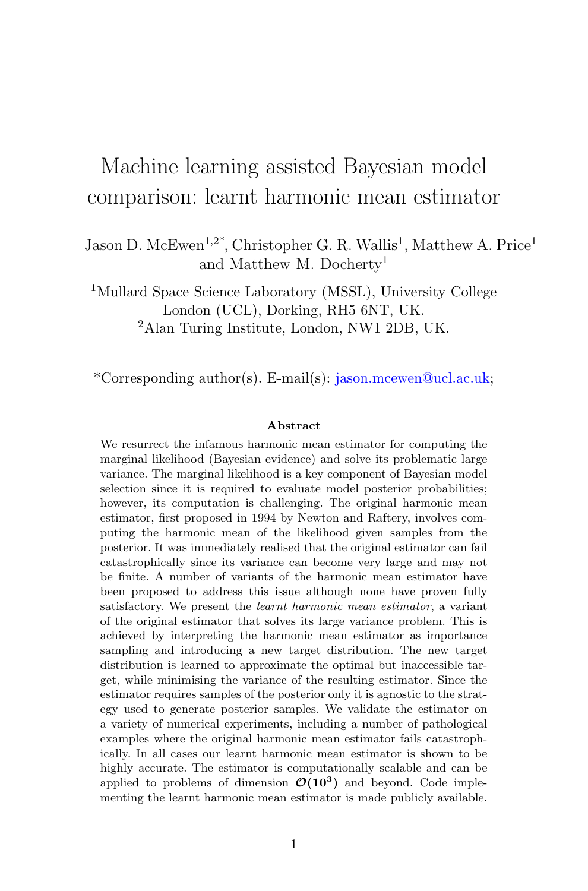# Machine learning assisted Bayesian model comparison: learnt harmonic mean estimator

Jason D. McEwen<sup>1,2\*</sup>, Christopher G. R. Wallis<sup>1</sup>, Matthew A. Price<sup>1</sup> and Matthew M. Docherty<sup>1</sup>

<sup>1</sup>Mullard Space Science Laboratory (MSSL), University College London (UCL), Dorking, RH5 6NT, UK. <sup>2</sup>Alan Turing Institute, London, NW1 2DB, UK.

\*Corresponding author(s). E-mail(s): jason.mcewen@ucl.ac.uk;

#### Abstract

We resurrect the infamous harmonic mean estimator for computing the marginal likelihood (Bayesian evidence) and solve its problematic large variance. The marginal likelihood is a key component of Bayesian model selection since it is required to evaluate model posterior probabilities; however, its computation is challenging. The original harmonic mean estimator, first proposed in 1994 by Newton and Raftery, involves computing the harmonic mean of the likelihood given samples from the posterior. It was immediately realised that the original estimator can fail catastrophically since its variance can become very large and may not be finite. A number of variants of the harmonic mean estimator have been proposed to address this issue although none have proven fully satisfactory. We present the learnt harmonic mean estimator, a variant of the original estimator that solves its large variance problem. This is achieved by interpreting the harmonic mean estimator as importance sampling and introducing a new target distribution. The new target distribution is learned to approximate the optimal but inaccessible target, while minimising the variance of the resulting estimator. Since the estimator requires samples of the posterior only it is agnostic to the strategy used to generate posterior samples. We validate the estimator on a variety of numerical experiments, including a number of pathological examples where the original harmonic mean estimator fails catastrophically. In all cases our learnt harmonic mean estimator is shown to be highly accurate. The estimator is computationally scalable and can be applied to problems of dimension  $\mathcal{O}(10^3)$  and beyond. Code implementing the learnt harmonic mean estimator is made publicly available.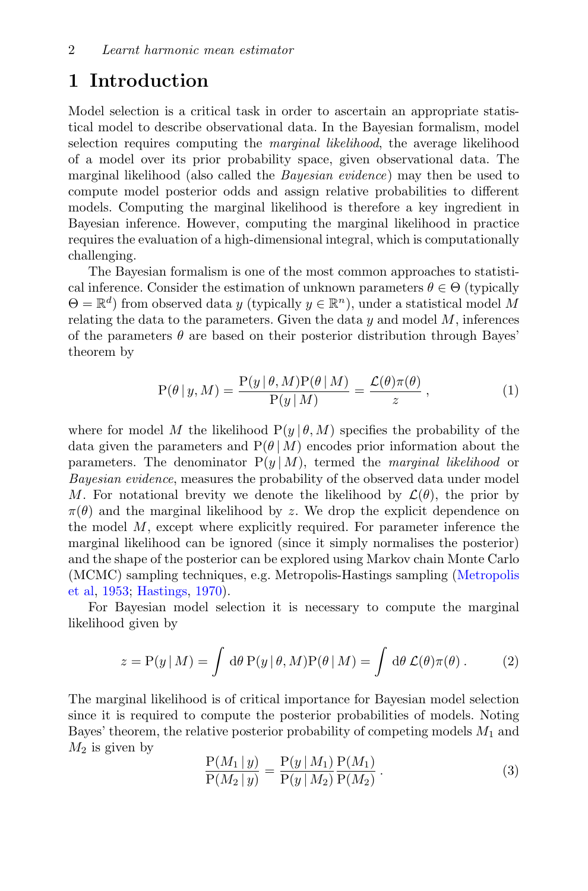## 1 Introduction

Model selection is a critical task in order to ascertain an appropriate statistical model to describe observational data. In the Bayesian formalism, model selection requires computing the *marginal likelihood*, the average likelihood of a model over its prior probability space, given observational data. The marginal likelihood (also called the *Bayesian evidence*) may then be used to compute model posterior odds and assign relative probabilities to different models. Computing the marginal likelihood is therefore a key ingredient in Bayesian inference. However, computing the marginal likelihood in practice requires the evaluation of a high-dimensional integral, which is computationally challenging.

The Bayesian formalism is one of the most common approaches to statistical inference. Consider the estimation of unknown parameters  $\theta \in \Theta$  (typically  $\Theta = \mathbb{R}^d$ ) from observed data y (typically  $y \in \mathbb{R}^n$ ), under a statistical model M relating the data to the parameters. Given the data  $y$  and model  $M$ , inferences of the parameters  $\theta$  are based on their posterior distribution through Bayes' theorem by

$$
P(\theta | y, M) = \frac{P(y | \theta, M)P(\theta | M)}{P(y | M)} = \frac{\mathcal{L}(\theta)\pi(\theta)}{z}, \qquad (1)
$$

where for model M the likelihood  $P(y | \theta, M)$  specifies the probability of the data given the parameters and  $P(\theta | M)$  encodes prior information about the parameters. The denominator  $P(y | M)$ , termed the *marginal likelihood* or Bayesian evidence, measures the probability of the observed data under model M. For notational brevity we denote the likelihood by  $\mathcal{L}(\theta)$ , the prior by  $\pi(\theta)$  and the marginal likelihood by z. We drop the explicit dependence on the model  $M$ , except where explicitly required. For parameter inference the marginal likelihood can be ignored (since it simply normalises the posterior) and the shape of the posterior can be explored using Markov chain Monte Carlo (MCMC) sampling techniques, e.g. Metropolis-Hastings sampling [\(Metropolis](#page-35-0) [et al,](#page-35-0) [1953;](#page-35-0) [Hastings,](#page-35-1) [1970\)](#page-35-1).

For Bayesian model selection it is necessary to compute the marginal likelihood given by

<span id="page-1-0"></span>
$$
z = P(y | M) = \int d\theta P(y | \theta, M) P(\theta | M) = \int d\theta \mathcal{L}(\theta) \pi(\theta).
$$
 (2)

The marginal likelihood is of critical importance for Bayesian model selection since it is required to compute the posterior probabilities of models. Noting Bayes' theorem, the relative posterior probability of competing models  $M_1$  and  $M_2$  is given by

$$
\frac{P(M_1 | y)}{P(M_2 | y)} = \frac{P(y | M_1)}{P(y | M_2)} \frac{P(M_1)}{P(M_2)}.
$$
\n(3)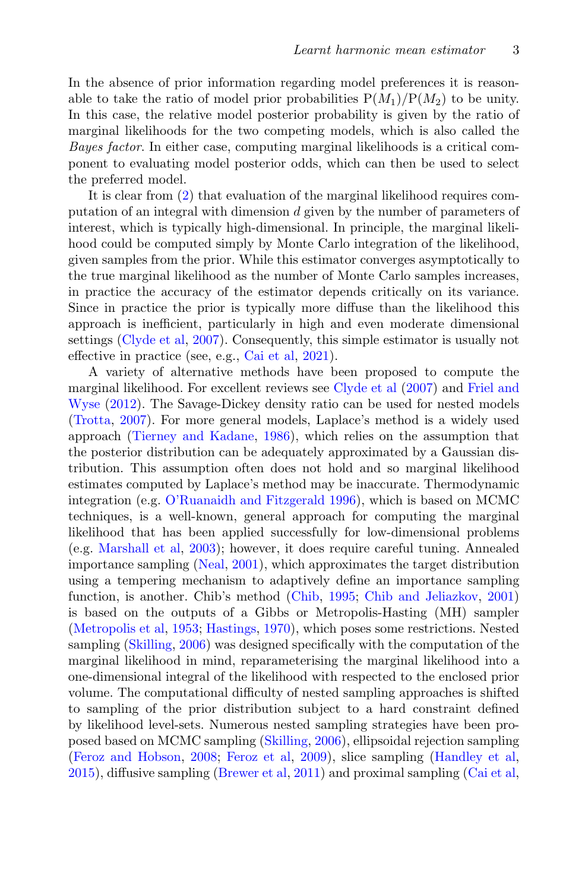In the absence of prior information regarding model preferences it is reasonable to take the ratio of model prior probabilities  $P(M_1)/P(M_2)$  to be unity. In this case, the relative model posterior probability is given by the ratio of marginal likelihoods for the two competing models, which is also called the Bayes factor. In either case, computing marginal likelihoods is a critical component to evaluating model posterior odds, which can then be used to select the preferred model.

It is clear from [\(2\)](#page-1-0) that evaluation of the marginal likelihood requires computation of an integral with dimension d given by the number of parameters of interest, which is typically high-dimensional. In principle, the marginal likelihood could be computed simply by Monte Carlo integration of the likelihood, given samples from the prior. While this estimator converges asymptotically to the true marginal likelihood as the number of Monte Carlo samples increases, in practice the accuracy of the estimator depends critically on its variance. Since in practice the prior is typically more diffuse than the likelihood this approach is inefficient, particularly in high and even moderate dimensional settings [\(Clyde et al,](#page-34-0) [2007\)](#page-34-0). Consequently, this simple estimator is usually not effective in practice (see, e.g., [Cai et al,](#page-34-1) [2021\)](#page-34-1).

A variety of alternative methods have been proposed to compute the marginal likelihood. For excellent reviews see [Clyde et al](#page-34-0) [\(2007\)](#page-34-0) and [Friel and](#page-34-2) [Wyse](#page-34-2) [\(2012\)](#page-34-2). The Savage-Dickey density ratio can be used for nested models [\(Trotta,](#page-36-0) [2007\)](#page-36-0). For more general models, Laplace's method is a widely used approach [\(Tierney and Kadane,](#page-36-1) [1986\)](#page-36-1), which relies on the assumption that the posterior distribution can be adequately approximated by a Gaussian distribution. This assumption often does not hold and so marginal likelihood estimates computed by Laplace's method may be inaccurate. Thermodynamic integration (e.g. [O'Ruanaidh and Fitzgerald](#page-36-2) [1996\)](#page-36-2), which is based on MCMC techniques, is a well-known, general approach for computing the marginal likelihood that has been applied successfully for low-dimensional problems (e.g. [Marshall et al,](#page-35-2) [2003\)](#page-35-2); however, it does require careful tuning. Annealed importance sampling [\(Neal,](#page-35-3) [2001\)](#page-35-3), which approximates the target distribution using a tempering mechanism to adaptively define an importance sampling function, is another. Chib's method [\(Chib,](#page-34-3) [1995;](#page-34-3) [Chib and Jeliazkov,](#page-34-4) [2001\)](#page-34-4) is based on the outputs of a Gibbs or Metropolis-Hasting (MH) sampler [\(Metropolis et al,](#page-35-0) [1953;](#page-35-0) [Hastings,](#page-35-1) [1970\)](#page-35-1), which poses some restrictions. Nested sampling [\(Skilling,](#page-36-3) [2006\)](#page-36-3) was designed specifically with the computation of the marginal likelihood in mind, reparameterising the marginal likelihood into a one-dimensional integral of the likelihood with respected to the enclosed prior volume. The computational difficulty of nested sampling approaches is shifted to sampling of the prior distribution subject to a hard constraint defined by likelihood level-sets. Numerous nested sampling strategies have been proposed based on MCMC sampling [\(Skilling,](#page-36-3) [2006\)](#page-36-3), ellipsoidal rejection sampling [\(Feroz and Hobson,](#page-34-5) [2008;](#page-34-5) [Feroz et al,](#page-34-6) [2009\)](#page-34-6), slice sampling [\(Handley et al,](#page-35-4) [2015\)](#page-35-4), diffusive sampling [\(Brewer et al,](#page-34-7) [2011\)](#page-34-7) and proximal sampling [\(Cai et al,](#page-34-1)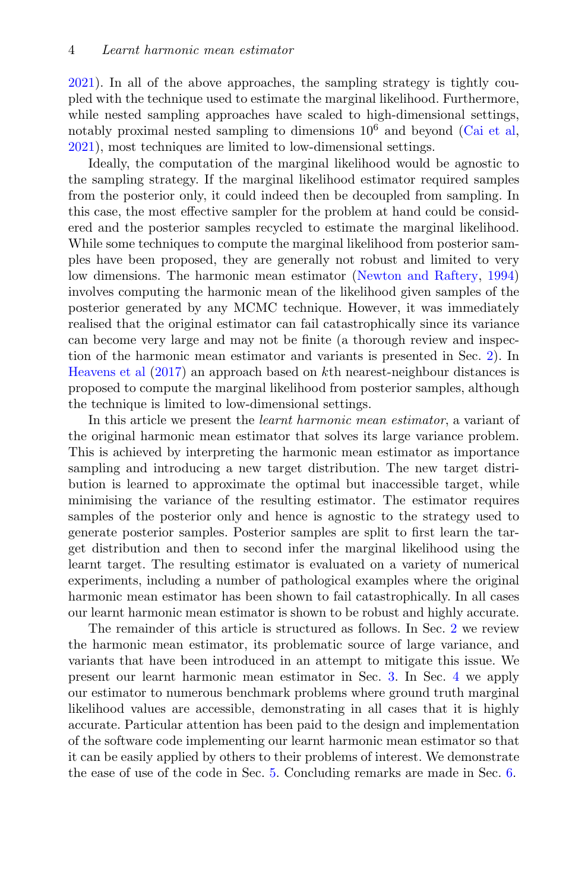[2021\)](#page-34-1). In all of the above approaches, the sampling strategy is tightly coupled with the technique used to estimate the marginal likelihood. Furthermore, while nested sampling approaches have scaled to high-dimensional settings, notably proximal nested sampling to dimensions  $10^6$  and beyond [\(Cai et al,](#page-34-1) [2021\)](#page-34-1), most techniques are limited to low-dimensional settings.

Ideally, the computation of the marginal likelihood would be agnostic to the sampling strategy. If the marginal likelihood estimator required samples from the posterior only, it could indeed then be decoupled from sampling. In this case, the most effective sampler for the problem at hand could be considered and the posterior samples recycled to estimate the marginal likelihood. While some techniques to compute the marginal likelihood from posterior samples have been proposed, they are generally not robust and limited to very low dimensions. The harmonic mean estimator [\(Newton and Raftery,](#page-35-5) [1994\)](#page-35-5) involves computing the harmonic mean of the likelihood given samples of the posterior generated by any MCMC technique. However, it was immediately realised that the original estimator can fail catastrophically since its variance can become very large and may not be finite (a thorough review and inspection of the harmonic mean estimator and variants is presented in Sec. [2\)](#page-4-0). In [Heavens et al](#page-35-6) [\(2017\)](#page-35-6) an approach based on kth nearest-neighbour distances is proposed to compute the marginal likelihood from posterior samples, although the technique is limited to low-dimensional settings.

In this article we present the learnt harmonic mean estimator, a variant of the original harmonic mean estimator that solves its large variance problem. This is achieved by interpreting the harmonic mean estimator as importance sampling and introducing a new target distribution. The new target distribution is learned to approximate the optimal but inaccessible target, while minimising the variance of the resulting estimator. The estimator requires samples of the posterior only and hence is agnostic to the strategy used to generate posterior samples. Posterior samples are split to first learn the target distribution and then to second infer the marginal likelihood using the learnt target. The resulting estimator is evaluated on a variety of numerical experiments, including a number of pathological examples where the original harmonic mean estimator has been shown to fail catastrophically. In all cases our learnt harmonic mean estimator is shown to be robust and highly accurate.

The remainder of this article is structured as follows. In Sec. [2](#page-4-0) we review the harmonic mean estimator, its problematic source of large variance, and variants that have been introduced in an attempt to mitigate this issue. We present our learnt harmonic mean estimator in Sec. [3.](#page-8-0) In Sec. [4](#page-19-0) we apply our estimator to numerous benchmark problems where ground truth marginal likelihood values are accessible, demonstrating in all cases that it is highly accurate. Particular attention has been paid to the design and implementation of the software code implementing our learnt harmonic mean estimator so that it can be easily applied by others to their problems of interest. We demonstrate the ease of use of the code in Sec. [5.](#page-32-0) Concluding remarks are made in Sec. [6.](#page-33-0)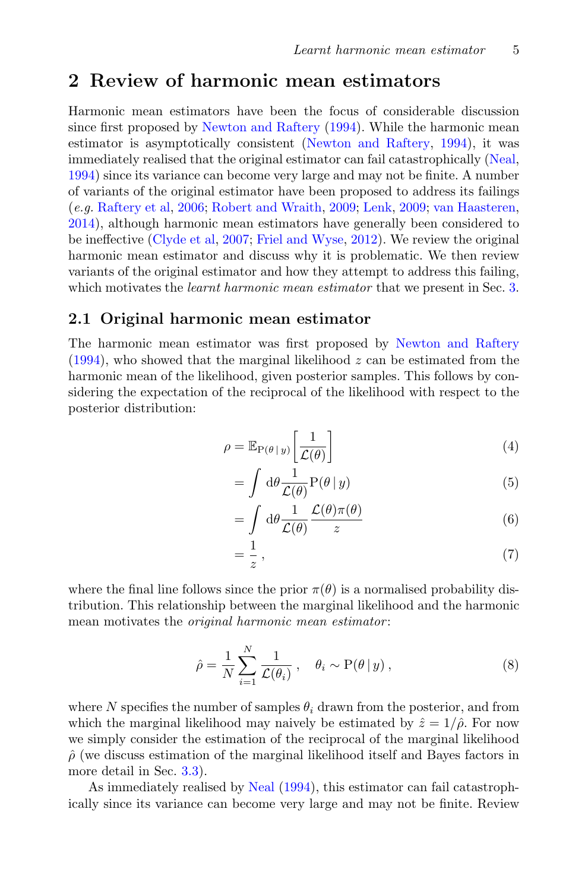## <span id="page-4-0"></span>2 Review of harmonic mean estimators

Harmonic mean estimators have been the focus of considerable discussion since first proposed by [Newton and Raftery](#page-35-5) [\(1994\)](#page-35-5). While the harmonic mean estimator is asymptotically consistent [\(Newton and Raftery,](#page-35-5) [1994\)](#page-35-5), it was immediately realised that the original estimator can fail catastrophically [\(Neal,](#page-35-7) [1994\)](#page-35-7) since its variance can become very large and may not be finite. A number of variants of the original estimator have been proposed to address its failings (e.g. [Raftery et al,](#page-36-4) [2006;](#page-36-4) [Robert and Wraith,](#page-36-5) [2009;](#page-36-5) [Lenk,](#page-35-8) [2009;](#page-35-8) [van Haasteren,](#page-35-9) [2014\)](#page-35-9), although harmonic mean estimators have generally been considered to be ineffective [\(Clyde et al,](#page-34-0) [2007;](#page-34-0) [Friel and Wyse,](#page-34-2) [2012\)](#page-34-2). We review the original harmonic mean estimator and discuss why it is problematic. We then review variants of the original estimator and how they attempt to address this failing, which motivates the *learnt harmonic mean estimator* that we present in Sec. [3.](#page-8-0)

### 2.1 Original harmonic mean estimator

The harmonic mean estimator was first proposed by [Newton and Raftery](#page-35-5)  $(1994)$ , who showed that the marginal likelihood z can be estimated from the harmonic mean of the likelihood, given posterior samples. This follows by considering the expectation of the reciprocal of the likelihood with respect to the posterior distribution:

$$
\rho = \mathbb{E}_{P(\theta \mid y)} \left[ \frac{1}{\mathcal{L}(\theta)} \right] \tag{4}
$$

$$
= \int d\theta \frac{1}{\mathcal{L}(\theta)} \mathcal{P}(\theta | y)
$$
 (5)

$$
= \int d\theta \frac{1}{\mathcal{L}(\theta)} \frac{\mathcal{L}(\theta)\pi(\theta)}{z} \tag{6}
$$

$$
=\frac{1}{z},\tag{7}
$$

where the final line follows since the prior  $\pi(\theta)$  is a normalised probability distribution. This relationship between the marginal likelihood and the harmonic mean motivates the *original harmonic mean estimator*:

$$
\hat{\rho} = \frac{1}{N} \sum_{i=1}^{N} \frac{1}{\mathcal{L}(\theta_i)}, \quad \theta_i \sim \mathcal{P}(\theta \, | \, y), \tag{8}
$$

where N specifies the number of samples  $\theta_i$  drawn from the posterior, and from which the marginal likelihood may naively be estimated by  $\hat{z} = 1/\hat{\rho}$ . For now we simply consider the estimation of the reciprocal of the marginal likelihood  $\rho$  (we discuss estimation of the marginal likelihood itself and Bayes factors in more detail in Sec. [3.3\)](#page-14-0).

As immediately realised by [Neal](#page-35-7)  $(1994)$ , this estimator can fail catastrophically since its variance can become very large and may not be finite. Review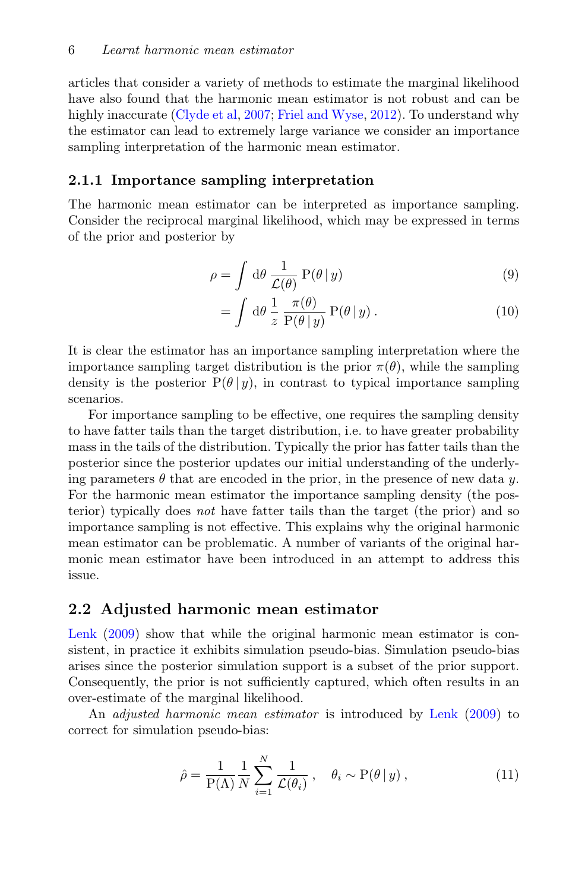articles that consider a variety of methods to estimate the marginal likelihood have also found that the harmonic mean estimator is not robust and can be highly inaccurate [\(Clyde et al,](#page-34-0) [2007;](#page-34-0) [Friel and Wyse,](#page-34-2) [2012\)](#page-34-2). To understand why the estimator can lead to extremely large variance we consider an importance sampling interpretation of the harmonic mean estimator.

#### 2.1.1 Importance sampling interpretation

The harmonic mean estimator can be interpreted as importance sampling. Consider the reciprocal marginal likelihood, which may be expressed in terms of the prior and posterior by

$$
\rho = \int d\theta \, \frac{1}{\mathcal{L}(\theta)} \, P(\theta \, | \, y) \tag{9}
$$

$$
= \int d\theta \frac{1}{z} \frac{\pi(\theta)}{P(\theta|y)} P(\theta|y) . \qquad (10)
$$

It is clear the estimator has an importance sampling interpretation where the importance sampling target distribution is the prior  $\pi(\theta)$ , while the sampling density is the posterior  $P(\theta | y)$ , in contrast to typical importance sampling scenarios.

For importance sampling to be effective, one requires the sampling density to have fatter tails than the target distribution, i.e. to have greater probability mass in the tails of the distribution. Typically the prior has fatter tails than the posterior since the posterior updates our initial understanding of the underlying parameters  $\theta$  that are encoded in the prior, in the presence of new data y. For the harmonic mean estimator the importance sampling density (the posterior) typically does not have fatter tails than the target (the prior) and so importance sampling is not effective. This explains why the original harmonic mean estimator can be problematic. A number of variants of the original harmonic mean estimator have been introduced in an attempt to address this issue.

#### 2.2 Adjusted harmonic mean estimator

[Lenk](#page-35-8)  $(2009)$  show that while the original harmonic mean estimator is consistent, in practice it exhibits simulation pseudo-bias. Simulation pseudo-bias arises since the posterior simulation support is a subset of the prior support. Consequently, the prior is not sufficiently captured, which often results in an over-estimate of the marginal likelihood.

An adjusted harmonic mean estimator is introduced by [Lenk](#page-35-8) [\(2009\)](#page-35-8) to correct for simulation pseudo-bias:

$$
\hat{\rho} = \frac{1}{P(\Lambda)} \frac{1}{N} \sum_{i=1}^{N} \frac{1}{\mathcal{L}(\theta_i)}, \quad \theta_i \sim P(\theta | y), \tag{11}
$$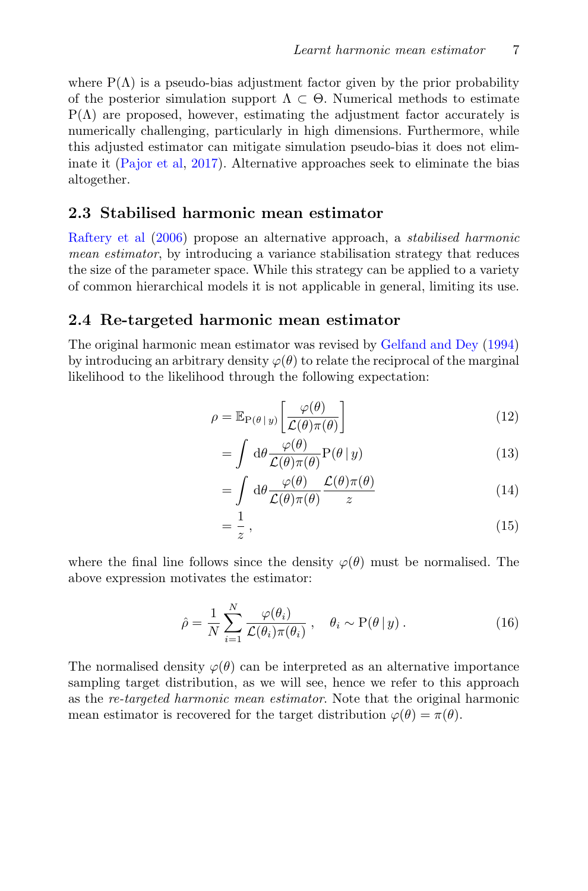where  $P(\Lambda)$  is a pseudo-bias adjustment factor given by the prior probability of the posterior simulation support  $\Lambda \subset \Theta$ . Numerical methods to estimate  $P(\Lambda)$  are proposed, however, estimating the adjustment factor accurately is numerically challenging, particularly in high dimensions. Furthermore, while this adjusted estimator can mitigate simulation pseudo-bias it does not eliminate it [\(Pajor et al,](#page-36-6) [2017\)](#page-36-6). Alternative approaches seek to eliminate the bias altogether.

## 2.3 Stabilised harmonic mean estimator

[Raftery et al](#page-36-4) [\(2006\)](#page-36-4) propose an alternative approach, a stabilised harmonic mean estimator, by introducing a variance stabilisation strategy that reduces the size of the parameter space. While this strategy can be applied to a variety of common hierarchical models it is not applicable in general, limiting its use.

### 2.4 Re-targeted harmonic mean estimator

The original harmonic mean estimator was revised by [Gelfand and Dey](#page-35-10) [\(1994\)](#page-35-10) by introducing an arbitrary density  $\varphi(\theta)$  to relate the reciprocal of the marginal likelihood to the likelihood through the following expectation:

$$
\rho = \mathbb{E}_{P(\theta \mid y)} \left[ \frac{\varphi(\theta)}{\mathcal{L}(\theta)\pi(\theta)} \right] \tag{12}
$$

$$
= \int d\theta \frac{\varphi(\theta)}{\mathcal{L}(\theta)\pi(\theta)} \mathcal{P}(\theta | y)
$$
 (13)

$$
= \int d\theta \frac{\varphi(\theta)}{\mathcal{L}(\theta)\pi(\theta)} \frac{\mathcal{L}(\theta)\pi(\theta)}{z} \tag{14}
$$

$$
=\frac{1}{z},\tag{15}
$$

where the final line follows since the density  $\varphi(\theta)$  must be normalised. The above expression motivates the estimator:

<span id="page-6-0"></span>
$$
\hat{\rho} = \frac{1}{N} \sum_{i=1}^{N} \frac{\varphi(\theta_i)}{\mathcal{L}(\theta_i)\pi(\theta_i)}, \quad \theta_i \sim \mathcal{P}(\theta \,|\, y) \,. \tag{16}
$$

The normalised density  $\varphi(\theta)$  can be interpreted as an alternative importance sampling target distribution, as we will see, hence we refer to this approach as the re-targeted harmonic mean estimator. Note that the original harmonic mean estimator is recovered for the target distribution  $\varphi(\theta) = \pi(\theta)$ .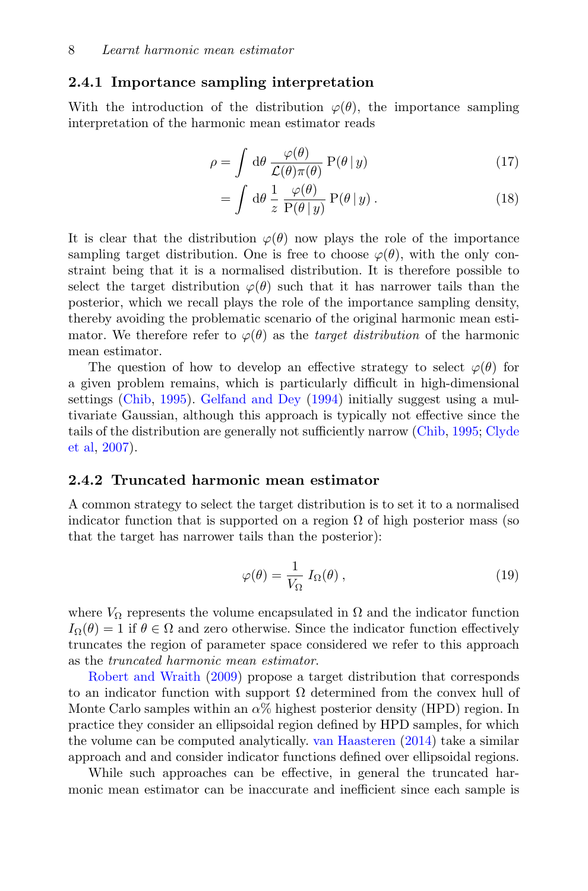### <span id="page-7-0"></span>2.4.1 Importance sampling interpretation

With the introduction of the distribution  $\varphi(\theta)$ , the importance sampling interpretation of the harmonic mean estimator reads

$$
\rho = \int d\theta \, \frac{\varphi(\theta)}{\mathcal{L}(\theta)\pi(\theta)} \, P(\theta \, | \, y) \tag{17}
$$

$$
= \int d\theta \frac{1}{z} \frac{\varphi(\theta)}{P(\theta|y)} P(\theta|y) . \qquad (18)
$$

It is clear that the distribution  $\varphi(\theta)$  now plays the role of the importance sampling target distribution. One is free to choose  $\varphi(\theta)$ , with the only constraint being that it is a normalised distribution. It is therefore possible to select the target distribution  $\varphi(\theta)$  such that it has narrower tails than the posterior, which we recall plays the role of the importance sampling density, thereby avoiding the problematic scenario of the original harmonic mean estimator. We therefore refer to  $\varphi(\theta)$  as the *target distribution* of the harmonic mean estimator.

The question of how to develop an effective strategy to select  $\varphi(\theta)$  for a given problem remains, which is particularly difficult in high-dimensional settings [\(Chib,](#page-34-3) [1995\)](#page-34-3). [Gelfand and Dey](#page-35-10) [\(1994\)](#page-35-10) initially suggest using a multivariate Gaussian, although this approach is typically not effective since the tails of the distribution are generally not sufficiently narrow [\(Chib,](#page-34-3) [1995;](#page-34-3) [Clyde](#page-34-0) [et al,](#page-34-0) [2007\)](#page-34-0).

#### 2.4.2 Truncated harmonic mean estimator

A common strategy to select the target distribution is to set it to a normalised indicator function that is supported on a region  $\Omega$  of high posterior mass (so that the target has narrower tails than the posterior):

$$
\varphi(\theta) = \frac{1}{V_{\Omega}} I_{\Omega}(\theta) , \qquad (19)
$$

where  $V_{\Omega}$  represents the volume encapsulated in  $\Omega$  and the indicator function  $I_{\Omega}(\theta) = 1$  if  $\theta \in \Omega$  and zero otherwise. Since the indicator function effectively truncates the region of parameter space considered we refer to this approach as the truncated harmonic mean estimator.

[Robert and Wraith](#page-36-5) [\(2009\)](#page-36-5) propose a target distribution that corresponds to an indicator function with support  $\Omega$  determined from the convex hull of Monte Carlo samples within an  $\alpha$ % highest posterior density (HPD) region. In practice they consider an ellipsoidal region defined by HPD samples, for which the volume can be computed analytically. [van Haasteren](#page-35-9) [\(2014\)](#page-35-9) take a similar approach and and consider indicator functions defined over ellipsoidal regions.

While such approaches can be effective, in general the truncated harmonic mean estimator can be inaccurate and inefficient since each sample is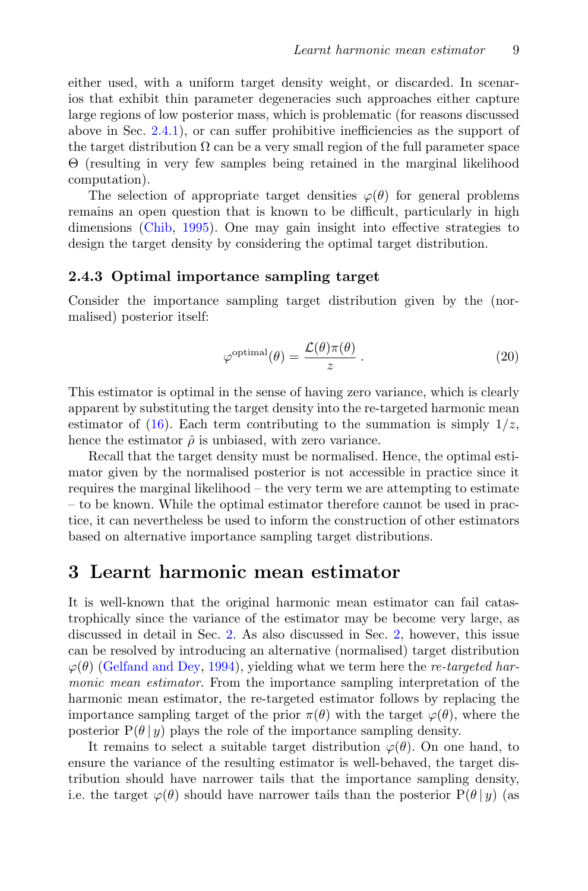either used, with a uniform target density weight, or discarded. In scenarios that exhibit thin parameter degeneracies such approaches either capture large regions of low posterior mass, which is problematic (for reasons discussed above in Sec. [2.4.1\)](#page-7-0), or can suffer prohibitive inefficiencies as the support of the target distribution  $\Omega$  can be a very small region of the full parameter space Θ (resulting in very few samples being retained in the marginal likelihood computation).

The selection of appropriate target densities  $\varphi(\theta)$  for general problems remains an open question that is known to be difficult, particularly in high dimensions [\(Chib,](#page-34-3) [1995\)](#page-34-3). One may gain insight into effective strategies to design the target density by considering the optimal target distribution.

#### 2.4.3 Optimal importance sampling target

Consider the importance sampling target distribution given by the (normalised) posterior itself:

$$
\varphi^{\text{optimal}}(\theta) = \frac{\mathcal{L}(\theta)\pi(\theta)}{z} \,. \tag{20}
$$

This estimator is optimal in the sense of having zero variance, which is clearly apparent by substituting the target density into the re-targeted harmonic mean estimator of [\(16\)](#page-6-0). Each term contributing to the summation is simply  $1/z$ , hence the estimator  $\hat{\rho}$  is unbiased, with zero variance.

Recall that the target density must be normalised. Hence, the optimal estimator given by the normalised posterior is not accessible in practice since it requires the marginal likelihood – the very term we are attempting to estimate – to be known. While the optimal estimator therefore cannot be used in practice, it can nevertheless be used to inform the construction of other estimators based on alternative importance sampling target distributions.

## <span id="page-8-0"></span>3 Learnt harmonic mean estimator

It is well-known that the original harmonic mean estimator can fail catastrophically since the variance of the estimator may be become very large, as discussed in detail in Sec. [2.](#page-4-0) As also discussed in Sec. [2,](#page-4-0) however, this issue can be resolved by introducing an alternative (normalised) target distribution  $\varphi(\theta)$  [\(Gelfand and Dey,](#page-35-10) [1994\)](#page-35-10), yielding what we term here the re-targeted harmonic mean estimator. From the importance sampling interpretation of the harmonic mean estimator, the re-targeted estimator follows by replacing the importance sampling target of the prior  $\pi(\theta)$  with the target  $\varphi(\theta)$ , where the posterior  $P(\theta | y)$  plays the role of the importance sampling density.

It remains to select a suitable target distribution  $\varphi(\theta)$ . On one hand, to ensure the variance of the resulting estimator is well-behaved, the target distribution should have narrower tails that the importance sampling density, i.e. the target  $\varphi(\theta)$  should have narrower tails than the posterior  $P(\theta | y)$  (as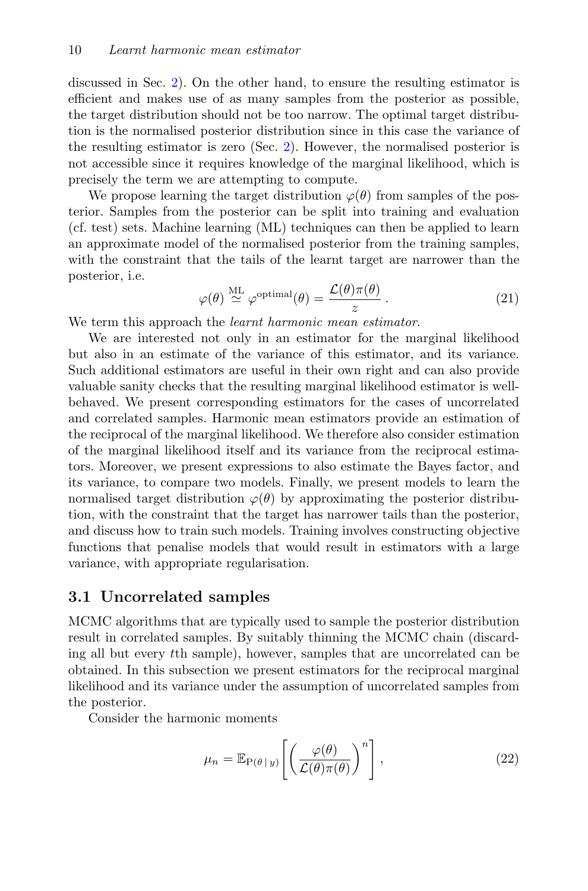discussed in Sec. [2\)](#page-4-0). On the other hand, to ensure the resulting estimator is efficient and makes use of as many samples from the posterior as possible, the target distribution should not be too narrow. The optimal target distribution is the normalised posterior distribution since in this case the variance of the resulting estimator is zero (Sec. [2\)](#page-4-0). However, the normalised posterior is not accessible since it requires knowledge of the marginal likelihood, which is precisely the term we are attempting to compute.

We propose learning the target distribution  $\varphi(\theta)$  from samples of the posterior. Samples from the posterior can be split into training and evaluation (cf. test) sets. Machine learning (ML) techniques can then be applied to learn an approximate model of the normalised posterior from the training samples, with the constraint that the tails of the learnt target are narrower than the posterior, i.e.

$$
\varphi(\theta) \stackrel{\text{ML}}{\simeq} \varphi^{\text{optimal}}(\theta) = \frac{\mathcal{L}(\theta)\pi(\theta)}{z} \,. \tag{21}
$$

We term this approach the *learnt harmonic mean estimator*.

We are interested not only in an estimator for the marginal likelihood but also in an estimate of the variance of this estimator, and its variance. Such additional estimators are useful in their own right and can also provide valuable sanity checks that the resulting marginal likelihood estimator is wellbehaved. We present corresponding estimators for the cases of uncorrelated and correlated samples. Harmonic mean estimators provide an estimation of the reciprocal of the marginal likelihood. We therefore also consider estimation of the marginal likelihood itself and its variance from the reciprocal estimators. Moreover, we present expressions to also estimate the Bayes factor, and its variance, to compare two models. Finally, we present models to learn the normalised target distribution  $\varphi(\theta)$  by approximating the posterior distribution, with the constraint that the target has narrower tails than the posterior, and discuss how to train such models. Training involves constructing objective functions that penalise models that would result in estimators with a large variance, with appropriate regularisation.

#### 3.1 Uncorrelated samples

MCMC algorithms that are typically used to sample the posterior distribution result in correlated samples. By suitably thinning the MCMC chain (discarding all but every tth sample), however, samples that are uncorrelated can be obtained. In this subsection we present estimators for the reciprocal marginal likelihood and its variance under the assumption of uncorrelated samples from the posterior.

Consider the harmonic moments

$$
\mu_n = \mathbb{E}_{P(\theta \,|\, y)} \left[ \left( \frac{\varphi(\theta)}{\mathcal{L}(\theta)\pi(\theta)} \right)^n \right],\tag{22}
$$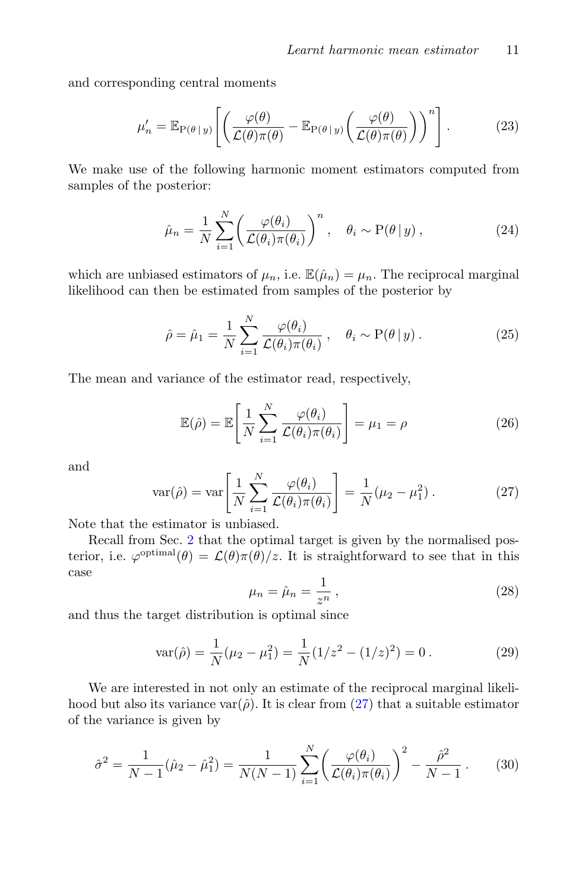and corresponding central moments

$$
\mu'_{n} = \mathbb{E}_{P(\theta \mid y)} \left[ \left( \frac{\varphi(\theta)}{\mathcal{L}(\theta)\pi(\theta)} - \mathbb{E}_{P(\theta \mid y)} \left( \frac{\varphi(\theta)}{\mathcal{L}(\theta)\pi(\theta)} \right) \right)^{n} \right].
$$
 (23)

We make use of the following harmonic moment estimators computed from samples of the posterior:

$$
\hat{\mu}_n = \frac{1}{N} \sum_{i=1}^N \left( \frac{\varphi(\theta_i)}{\mathcal{L}(\theta_i)\pi(\theta_i)} \right)^n, \quad \theta_i \sim \mathcal{P}(\theta | y), \tag{24}
$$

which are unbiased estimators of  $\mu_n$ , i.e.  $\mathbb{E}(\hat{\mu}_n) = \mu_n$ . The reciprocal marginal likelihood can then be estimated from samples of the posterior by

$$
\hat{\rho} = \hat{\mu}_1 = \frac{1}{N} \sum_{i=1}^{N} \frac{\varphi(\theta_i)}{\mathcal{L}(\theta_i)\pi(\theta_i)}, \quad \theta_i \sim \mathcal{P}(\theta | y). \tag{25}
$$

The mean and variance of the estimator read, respectively,

$$
\mathbb{E}(\hat{\rho}) = \mathbb{E}\left[\frac{1}{N}\sum_{i=1}^{N} \frac{\varphi(\theta_i)}{\mathcal{L}(\theta_i)\pi(\theta_i)}\right] = \mu_1 = \rho
$$
\n(26)

and

<span id="page-10-0"></span>
$$
\text{var}(\hat{\rho}) = \text{var}\left[\frac{1}{N} \sum_{i=1}^{N} \frac{\varphi(\theta_i)}{\mathcal{L}(\theta_i)\pi(\theta_i)}\right] = \frac{1}{N}(\mu_2 - \mu_1^2). \tag{27}
$$

Note that the estimator is unbiased.

Recall from Sec. [2](#page-4-0) that the optimal target is given by the normalised posterior, i.e.  $\varphi^{\text{optimal}}(\theta) = \mathcal{L}(\theta)\pi(\theta)/z$ . It is straightforward to see that in this case

$$
\mu_n = \hat{\mu}_n = \frac{1}{z^n} \,,\tag{28}
$$

and thus the target distribution is optimal since

$$
var(\hat{\rho}) = \frac{1}{N}(\mu_2 - \mu_1^2) = \frac{1}{N}(1/z^2 - (1/z)^2) = 0.
$$
 (29)

We are interested in not only an estimate of the reciprocal marginal likelihood but also its variance var $(\hat{\rho})$ . It is clear from  $(27)$  that a suitable estimator of the variance is given by

$$
\hat{\sigma}^2 = \frac{1}{N-1} (\hat{\mu}_2 - \hat{\mu}_1^2) = \frac{1}{N(N-1)} \sum_{i=1}^N \left( \frac{\varphi(\theta_i)}{\mathcal{L}(\theta_i)\pi(\theta_i)} \right)^2 - \frac{\hat{\rho}^2}{N-1} \,. \tag{30}
$$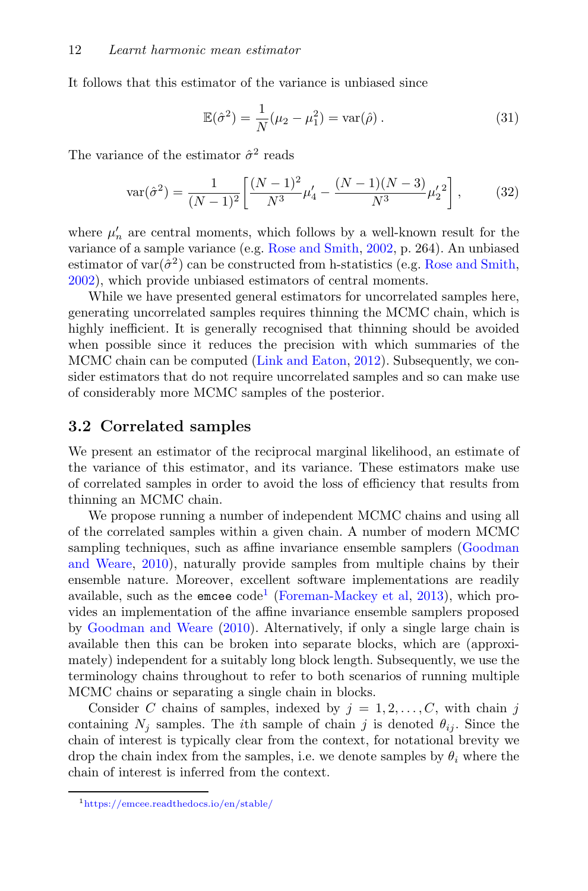It follows that this estimator of the variance is unbiased since

$$
\mathbb{E}(\hat{\sigma}^2) = \frac{1}{N}(\mu_2 - \mu_1^2) = \text{var}(\hat{\rho}).
$$
\n(31)

The variance of the estimator  $\hat{\sigma}^2$  reads

$$
\text{var}(\hat{\sigma}^2) = \frac{1}{(N-1)^2} \left[ \frac{(N-1)^2}{N^3} \mu_4' - \frac{(N-1)(N-3)}{N^3} \mu_2'^2 \right],\tag{32}
$$

where  $\mu'_n$  are central moments, which follows by a well-known result for the variance of a sample variance (e.g. [Rose and Smith,](#page-36-7) [2002,](#page-36-7) p. 264). An unbiased estimator of  $var(\hat{\sigma}^2)$  can be constructed from h-statistics (e.g. [Rose and Smith,](#page-36-7) [2002\)](#page-36-7), which provide unbiased estimators of central moments.

While we have presented general estimators for uncorrelated samples here, generating uncorrelated samples requires thinning the MCMC chain, which is highly inefficient. It is generally recognised that thinning should be avoided when possible since it reduces the precision with which summaries of the MCMC chain can be computed [\(Link and Eaton,](#page-35-11) [2012\)](#page-35-11). Subsequently, we consider estimators that do not require uncorrelated samples and so can make use of considerably more MCMC samples of the posterior.

### <span id="page-11-1"></span>3.2 Correlated samples

We present an estimator of the reciprocal marginal likelihood, an estimate of the variance of this estimator, and its variance. These estimators make use of correlated samples in order to avoid the loss of efficiency that results from thinning an MCMC chain.

We propose running a number of independent MCMC chains and using all of the correlated samples within a given chain. A number of modern MCMC sampling techniques, such as affine invariance ensemble samplers [\(Goodman](#page-35-12) [and Weare,](#page-35-12) [2010\)](#page-35-12), naturally provide samples from multiple chains by their ensemble nature. Moreover, excellent software implementations are readily available, such as the emcee  $\text{code}^1$  $\text{code}^1$  [\(Foreman-Mackey et al,](#page-34-8) [2013\)](#page-34-8), which provides an implementation of the affine invariance ensemble samplers proposed by [Goodman and Weare](#page-35-12) [\(2010\)](#page-35-12). Alternatively, if only a single large chain is available then this can be broken into separate blocks, which are (approximately) independent for a suitably long block length. Subsequently, we use the terminology chains throughout to refer to both scenarios of running multiple MCMC chains or separating a single chain in blocks.

Consider C chains of samples, indexed by  $j = 1, 2, \ldots, C$ , with chain j containing  $N_i$  samples. The *i*th sample of chain j is denoted  $\theta_{ij}$ . Since the chain of interest is typically clear from the context, for notational brevity we drop the chain index from the samples, i.e. we denote samples by  $\theta_i$  where the chain of interest is inferred from the context.

<span id="page-11-0"></span><sup>1</sup><https://emcee.readthedocs.io/en/stable/>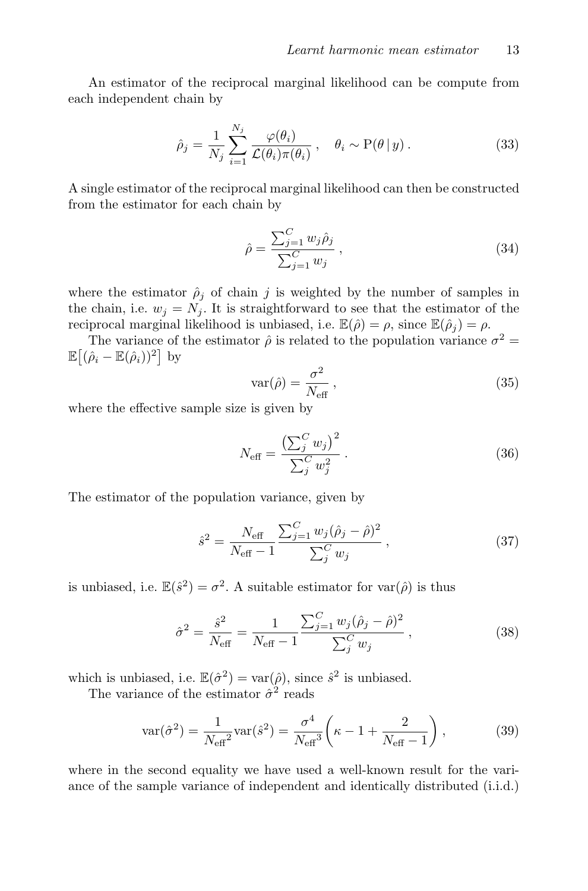An estimator of the reciprocal marginal likelihood can be compute from each independent chain by

$$
\hat{\rho}_j = \frac{1}{N_j} \sum_{i=1}^{N_j} \frac{\varphi(\theta_i)}{\mathcal{L}(\theta_i)\pi(\theta_i)}, \quad \theta_i \sim \mathcal{P}(\theta \mid y). \tag{33}
$$

A single estimator of the reciprocal marginal likelihood can then be constructed from the estimator for each chain by

$$
\hat{\rho} = \frac{\sum_{j=1}^{C} w_j \hat{\rho}_j}{\sum_{j=1}^{C} w_j},
$$
\n(34)

where the estimator  $\hat{\rho}_j$  of chain j is weighted by the number of samples in the chain, i.e.  $w_j = N_j$ . It is straightforward to see that the estimator of the reciprocal marginal likelihood is unbiased, i.e.  $\mathbb{E}(\hat{\rho}) = \rho$ , since  $\mathbb{E}(\hat{\rho}_i) = \rho$ .

The variance of the estimator  $\hat{\rho}$  is related to the population variance  $\sigma^2 =$  $\mathbb{E}\big[(\hat{\rho}_i - \mathbb{E}(\hat{\rho}_i))^2\big]$  by

$$
var(\hat{\rho}) = \frac{\sigma^2}{N_{\text{eff}}},\tag{35}
$$

where the effective sample size is given by

$$
N_{\text{eff}} = \frac{\left(\sum_{j}^{C} w_{j}\right)^{2}}{\sum_{j}^{C} w_{j}^{2}}.
$$
 (36)

The estimator of the population variance, given by

$$
\hat{s}^2 = \frac{N_{\text{eff}}}{N_{\text{eff}} - 1} \frac{\sum_{j=1}^C w_j (\hat{\rho}_j - \hat{\rho})^2}{\sum_j^C w_j} , \qquad (37)
$$

is unbiased, i.e.  $\mathbb{E}(\hat{s}^2) = \sigma^2$ . A suitable estimator for  $\text{var}(\hat{\rho})$  is thus

$$
\hat{\sigma}^2 = \frac{\hat{s}^2}{N_{\text{eff}}} = \frac{1}{N_{\text{eff}} - 1} \frac{\sum_{j=1}^C w_j (\hat{\rho}_j - \hat{\rho})^2}{\sum_j^C w_j},
$$
\n(38)

which is unbiased, i.e.  $\mathbb{E}(\hat{\sigma}^2) = \text{var}(\hat{\rho})$ , since  $\hat{s}^2$  is unbiased.

The variance of the estimator  $\hat{\sigma}^2$  reads

$$
var(\hat{\sigma}^2) = \frac{1}{N_{\text{eff}}^2} var(\hat{s}^2) = \frac{\sigma^4}{N_{\text{eff}}^3} \left( \kappa - 1 + \frac{2}{N_{\text{eff}} - 1} \right),
$$
 (39)

where in the second equality we have used a well-known result for the variance of the sample variance of independent and identically distributed (i.i.d.)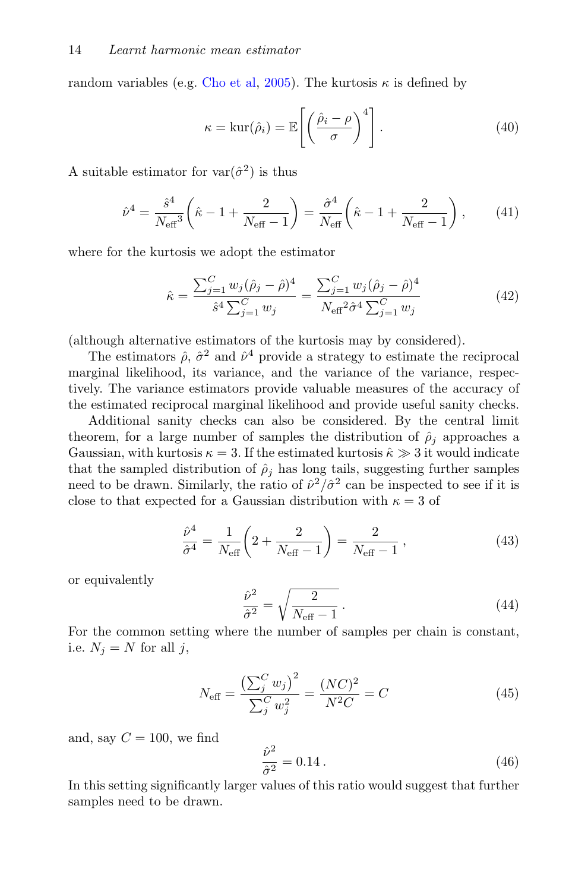random variables (e.g. [Cho et al,](#page-34-9) [2005\)](#page-34-9). The kurtosis  $\kappa$  is defined by

$$
\kappa = \ker(\hat{\rho}_i) = \mathbb{E}\left[\left(\frac{\hat{\rho}_i - \rho}{\sigma}\right)^4\right].\tag{40}
$$

A suitable estimator for  $var(\hat{\sigma}^2)$  is thus

$$
\hat{\nu}^4 = \frac{\hat{s}^4}{N_{\text{eff}}^3} \left( \hat{\kappa} - 1 + \frac{2}{N_{\text{eff}} - 1} \right) = \frac{\hat{\sigma}^4}{N_{\text{eff}}} \left( \hat{\kappa} - 1 + \frac{2}{N_{\text{eff}} - 1} \right), \tag{41}
$$

where for the kurtosis we adopt the estimator

$$
\hat{\kappa} = \frac{\sum_{j=1}^{C} w_j (\hat{\rho}_j - \hat{\rho})^4}{\hat{s}^4 \sum_{j=1}^{C} w_j} = \frac{\sum_{j=1}^{C} w_j (\hat{\rho}_j - \hat{\rho})^4}{N_{\text{eff}}^2 \hat{\sigma}^4 \sum_{j=1}^{C} w_j}
$$
(42)

(although alternative estimators of the kurtosis may by considered).

The estimators  $\hat{\rho}, \hat{\sigma}^2$  and  $\hat{\nu}^4$  provide a strategy to estimate the reciprocal marginal likelihood, its variance, and the variance of the variance, respectively. The variance estimators provide valuable measures of the accuracy of the estimated reciprocal marginal likelihood and provide useful sanity checks.

Additional sanity checks can also be considered. By the central limit theorem, for a large number of samples the distribution of  $\hat{\rho}_i$  approaches a Gaussian, with kurtosis  $\kappa = 3$ . If the estimated kurtosis  $\hat{\kappa} \gg 3$  it would indicate that the sampled distribution of  $\hat{\rho}_j$  has long tails, suggesting further samples need to be drawn. Similarly, the ratio of  $\hat{\nu}^2/\hat{\sigma}^2$  can be inspected to see if it is close to that expected for a Gaussian distribution with  $\kappa = 3$  of

$$
\frac{\hat{\nu}^4}{\hat{\sigma}^4} = \frac{1}{N_{\text{eff}}} \left( 2 + \frac{2}{N_{\text{eff}} - 1} \right) = \frac{2}{N_{\text{eff}} - 1} ,\qquad(43)
$$

or equivalently

$$
\frac{\hat{\nu}^2}{\hat{\sigma}^2} = \sqrt{\frac{2}{N_{\text{eff}} - 1}}\,. \tag{44}
$$

For the common setting where the number of samples per chain is constant, i.e.  $N_i = N$  for all j,

$$
N_{\text{eff}} = \frac{\left(\sum_{j}^{C} w_{j}\right)^{2}}{\sum_{j}^{C} w_{j}^{2}} = \frac{(NC)^{2}}{N^{2}C} = C
$$
\n(45)

and, say  $C = 100$ , we find

$$
\frac{\hat{\nu}^2}{\hat{\sigma}^2} = 0.14 \,. \tag{46}
$$

In this setting significantly larger values of this ratio would suggest that further samples need to be drawn.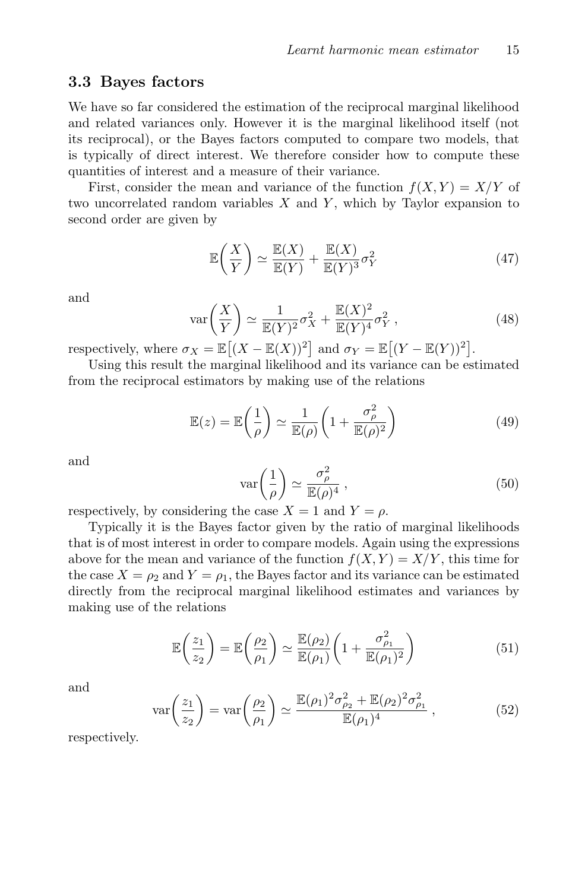#### <span id="page-14-0"></span>3.3 Bayes factors

We have so far considered the estimation of the reciprocal marginal likelihood and related variances only. However it is the marginal likelihood itself (not its reciprocal), or the Bayes factors computed to compare two models, that is typically of direct interest. We therefore consider how to compute these quantities of interest and a measure of their variance.

First, consider the mean and variance of the function  $f(X, Y) = X/Y$  of two uncorrelated random variables  $X$  and  $Y$ , which by Taylor expansion to second order are given by

$$
\mathbb{E}\left(\frac{X}{Y}\right) \simeq \frac{\mathbb{E}(X)}{\mathbb{E}(Y)} + \frac{\mathbb{E}(X)}{\mathbb{E}(Y)^3} \sigma_Y^2 \tag{47}
$$

and

$$
\text{var}\left(\frac{X}{Y}\right) \simeq \frac{1}{\mathbb{E}(Y)^2} \sigma_X^2 + \frac{\mathbb{E}(X)^2}{\mathbb{E}(Y)^4} \sigma_Y^2 \,,\tag{48}
$$

respectively, where  $\sigma_X = \mathbb{E}[(X - \mathbb{E}(X))^2]$  and  $\sigma_Y = \mathbb{E}[(Y - \mathbb{E}(Y))^2]$ .

Using this result the marginal likelihood and its variance can be estimated from the reciprocal estimators by making use of the relations

$$
\mathbb{E}(z) = \mathbb{E}\left(\frac{1}{\rho}\right) \simeq \frac{1}{\mathbb{E}(\rho)} \left(1 + \frac{\sigma_{\rho}^2}{\mathbb{E}(\rho)^2}\right)
$$
(49)

and

$$
\operatorname{var}\left(\frac{1}{\rho}\right) \simeq \frac{\sigma_{\rho}^2}{\mathbb{E}(\rho)^4} \,,\tag{50}
$$

respectively, by considering the case  $X = 1$  and  $Y = \rho$ .

Typically it is the Bayes factor given by the ratio of marginal likelihoods that is of most interest in order to compare models. Again using the expressions above for the mean and variance of the function  $f(X, Y) = X/Y$ , this time for the case  $X = \rho_2$  and  $Y = \rho_1$ , the Bayes factor and its variance can be estimated directly from the reciprocal marginal likelihood estimates and variances by making use of the relations

$$
\mathbb{E}\left(\frac{z_1}{z_2}\right) = \mathbb{E}\left(\frac{\rho_2}{\rho_1}\right) \simeq \frac{\mathbb{E}(\rho_2)}{\mathbb{E}(\rho_1)} \left(1 + \frac{\sigma_{\rho_1}^2}{\mathbb{E}(\rho_1)^2}\right)
$$
(51)

and

$$
\text{var}\left(\frac{z_1}{z_2}\right) = \text{var}\left(\frac{\rho_2}{\rho_1}\right) \simeq \frac{\mathbb{E}(\rho_1)^2 \sigma_{\rho_2}^2 + \mathbb{E}(\rho_2)^2 \sigma_{\rho_1}^2}{\mathbb{E}(\rho_1)^4} \,,\tag{52}
$$

respectively.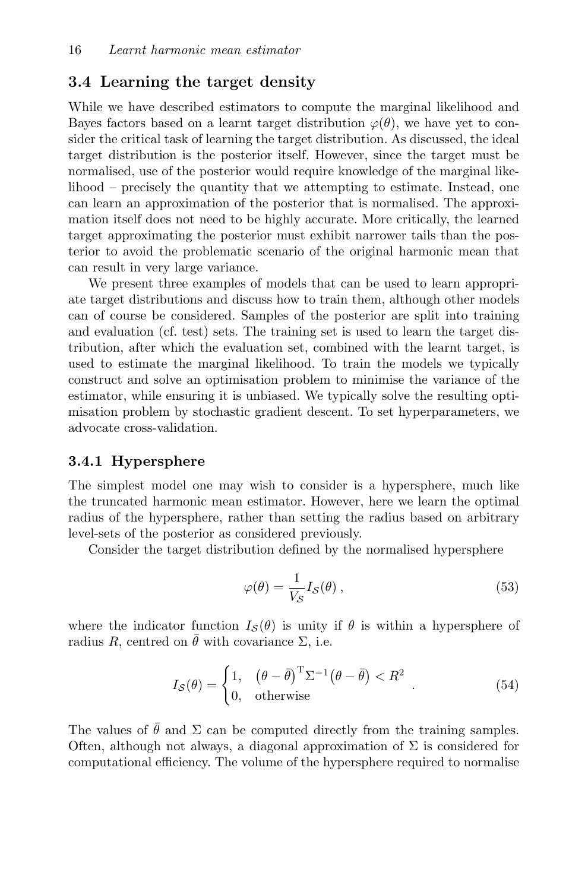## <span id="page-15-0"></span>3.4 Learning the target density

While we have described estimators to compute the marginal likelihood and Bayes factors based on a learnt target distribution  $\varphi(\theta)$ , we have yet to consider the critical task of learning the target distribution. As discussed, the ideal target distribution is the posterior itself. However, since the target must be normalised, use of the posterior would require knowledge of the marginal likelihood – precisely the quantity that we attempting to estimate. Instead, one can learn an approximation of the posterior that is normalised. The approximation itself does not need to be highly accurate. More critically, the learned target approximating the posterior must exhibit narrower tails than the posterior to avoid the problematic scenario of the original harmonic mean that can result in very large variance.

We present three examples of models that can be used to learn appropriate target distributions and discuss how to train them, although other models can of course be considered. Samples of the posterior are split into training and evaluation (cf. test) sets. The training set is used to learn the target distribution, after which the evaluation set, combined with the learnt target, is used to estimate the marginal likelihood. To train the models we typically construct and solve an optimisation problem to minimise the variance of the estimator, while ensuring it is unbiased. We typically solve the resulting optimisation problem by stochastic gradient descent. To set hyperparameters, we advocate cross-validation.

#### 3.4.1 Hypersphere

The simplest model one may wish to consider is a hypersphere, much like the truncated harmonic mean estimator. However, here we learn the optimal radius of the hypersphere, rather than setting the radius based on arbitrary level-sets of the posterior as considered previously.

Consider the target distribution defined by the normalised hypersphere

$$
\varphi(\theta) = \frac{1}{V_{\mathcal{S}}} I_{\mathcal{S}}(\theta) ,\qquad(53)
$$

where the indicator function  $I_{\mathcal{S}}(\theta)$  is unity if  $\theta$  is within a hypersphere of radius R, centred on  $\theta$  with covariance  $\Sigma$ , i.e.

$$
I_{\mathcal{S}}(\theta) = \begin{cases} 1, & (\theta - \bar{\theta})^{\mathrm{T}} \Sigma^{-1} (\theta - \bar{\theta}) < R^2 \\ 0, & \text{otherwise} \end{cases} . \tag{54}
$$

The values of  $\hat{\theta}$  and  $\Sigma$  can be computed directly from the training samples. Often, although not always, a diagonal approximation of  $\Sigma$  is considered for computational efficiency. The volume of the hypersphere required to normalise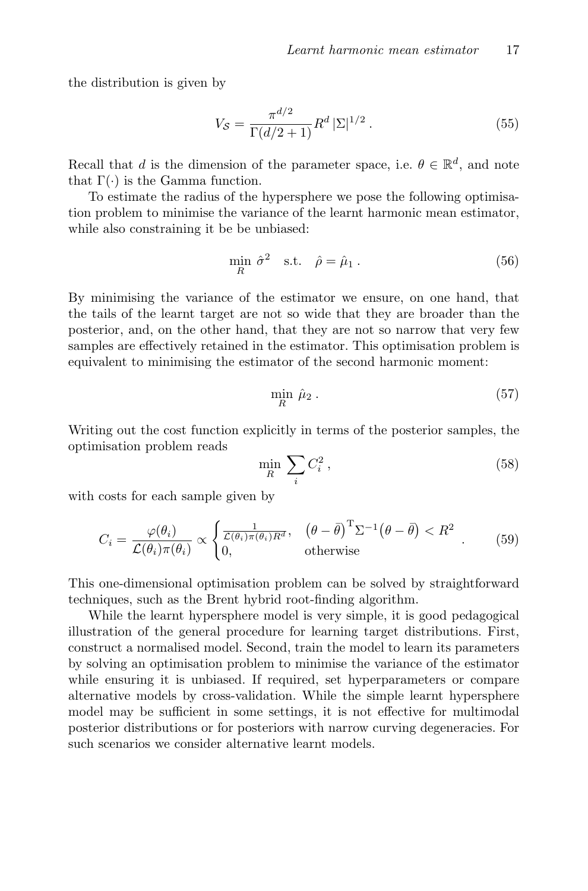the distribution is given by

$$
V_{\mathcal{S}} = \frac{\pi^{d/2}}{\Gamma(d/2+1)} R^d \, |\Sigma|^{1/2} \,. \tag{55}
$$

Recall that d is the dimension of the parameter space, i.e.  $\theta \in \mathbb{R}^d$ , and note that  $\Gamma(\cdot)$  is the Gamma function.

To estimate the radius of the hypersphere we pose the following optimisation problem to minimise the variance of the learnt harmonic mean estimator, while also constraining it be be unbiased:

$$
\min_{R} \hat{\sigma}^2 \quad \text{s.t.} \quad \hat{\rho} = \hat{\mu}_1 \,. \tag{56}
$$

By minimising the variance of the estimator we ensure, on one hand, that the tails of the learnt target are not so wide that they are broader than the posterior, and, on the other hand, that they are not so narrow that very few samples are effectively retained in the estimator. This optimisation problem is equivalent to minimising the estimator of the second harmonic moment:

$$
\min_{R} \hat{\mu}_2 \,. \tag{57}
$$

Writing out the cost function explicitly in terms of the posterior samples, the optimisation problem reads

$$
\min_{R} \sum_{i} C_i^2 \,,\tag{58}
$$

with costs for each sample given by

$$
C_i = \frac{\varphi(\theta_i)}{\mathcal{L}(\theta_i)\pi(\theta_i)} \propto \begin{cases} \frac{1}{\mathcal{L}(\theta_i)\pi(\theta_i)R^d}, & (\theta - \bar{\theta})^T \Sigma^{-1} (\theta - \bar{\theta}) < R^2\\ 0, & \text{otherwise} \end{cases} \tag{59}
$$

This one-dimensional optimisation problem can be solved by straightforward techniques, such as the Brent hybrid root-finding algorithm.

While the learnt hypersphere model is very simple, it is good pedagogical illustration of the general procedure for learning target distributions. First, construct a normalised model. Second, train the model to learn its parameters by solving an optimisation problem to minimise the variance of the estimator while ensuring it is unbiased. If required, set hyperparameters or compare alternative models by cross-validation. While the simple learnt hypersphere model may be sufficient in some settings, it is not effective for multimodal posterior distributions or for posteriors with narrow curving degeneracies. For such scenarios we consider alternative learnt models.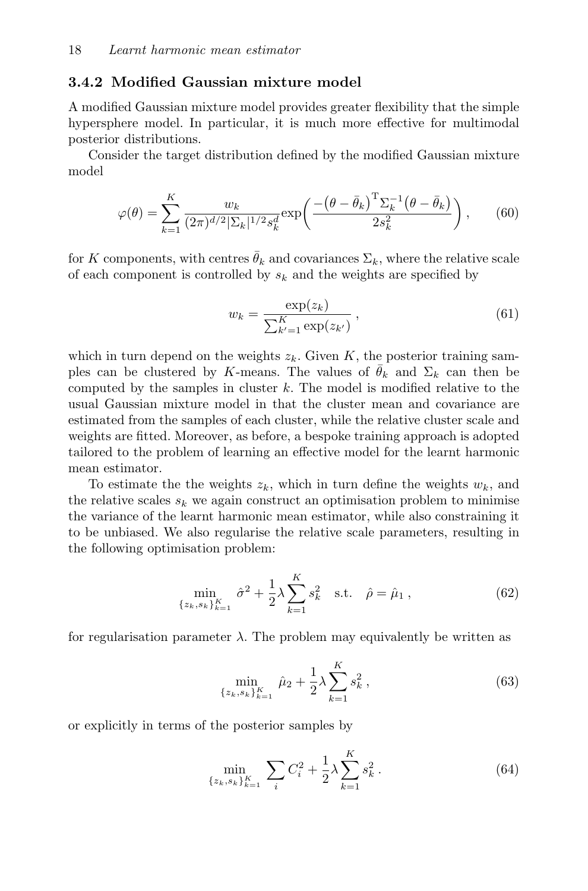### 3.4.2 Modified Gaussian mixture model

A modified Gaussian mixture model provides greater flexibility that the simple hypersphere model. In particular, it is much more effective for multimodal posterior distributions.

Consider the target distribution defined by the modified Gaussian mixture model

$$
\varphi(\theta) = \sum_{k=1}^{K} \frac{w_k}{(2\pi)^{d/2} |\Sigma_k|^{1/2} s_k^d} \exp\left(\frac{-\left(\theta - \bar{\theta}_k\right)^{\mathrm{T}} \Sigma_k^{-1} \left(\theta - \bar{\theta}_k\right)}{2s_k^2}\right),\qquad(60)
$$

for K components, with centres  $\bar{\theta}_k$  and covariances  $\Sigma_k$ , where the relative scale of each component is controlled by  $s_k$  and the weights are specified by

$$
w_k = \frac{\exp(z_k)}{\sum_{k'=1}^{K} \exp(z_{k'})},
$$
\n(61)

which in turn depend on the weights  $z_k$ . Given K, the posterior training samples can be clustered by K-means. The values of  $\bar{\theta}_k$  and  $\Sigma_k$  can then be computed by the samples in cluster  $k$ . The model is modified relative to the usual Gaussian mixture model in that the cluster mean and covariance are estimated from the samples of each cluster, while the relative cluster scale and weights are fitted. Moreover, as before, a bespoke training approach is adopted tailored to the problem of learning an effective model for the learnt harmonic mean estimator.

To estimate the the weights  $z_k$ , which in turn define the weights  $w_k$ , and the relative scales  $s_k$  we again construct an optimisation problem to minimise the variance of the learnt harmonic mean estimator, while also constraining it to be unbiased. We also regularise the relative scale parameters, resulting in the following optimisation problem:

$$
\min_{\{z_k, s_k\}_{k=1}^K} \hat{\sigma}^2 + \frac{1}{2} \lambda \sum_{k=1}^K s_k^2 \quad \text{s.t.} \quad \hat{\rho} = \hat{\mu}_1 \,, \tag{62}
$$

for regularisation parameter  $\lambda$ . The problem may equivalently be written as

$$
\min_{\{z_k, s_k\}_{k=1}^K} \hat{\mu}_2 + \frac{1}{2} \lambda \sum_{k=1}^K s_k^2 ,
$$
\n(63)

or explicitly in terms of the posterior samples by

$$
\min_{\{z_k, s_k\}_{k=1}^K} \sum_i C_i^2 + \frac{1}{2} \lambda \sum_{k=1}^K s_k^2.
$$
 (64)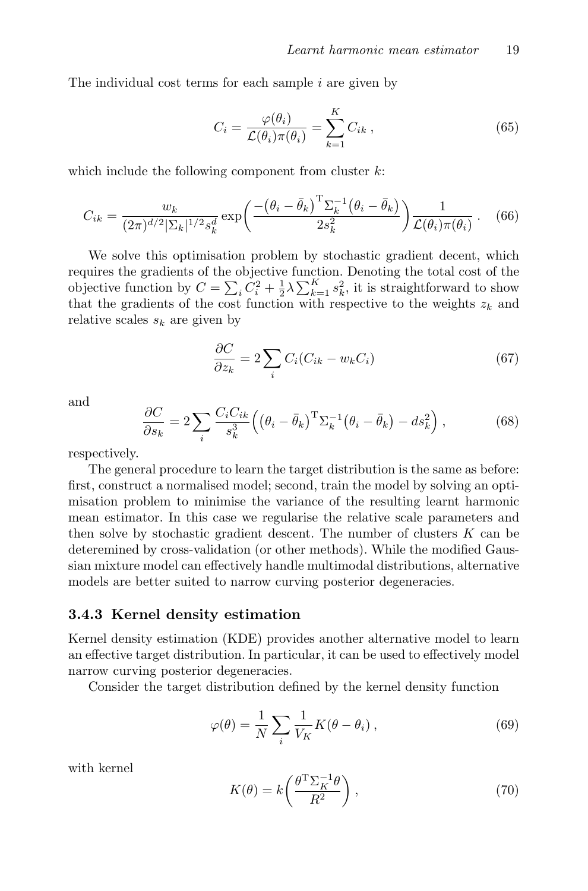The individual cost terms for each sample  $i$  are given by

$$
C_i = \frac{\varphi(\theta_i)}{\mathcal{L}(\theta_i)\pi(\theta_i)} = \sum_{k=1}^{K} C_{ik} , \qquad (65)
$$

which include the following component from cluster  $k$ :

$$
C_{ik} = \frac{w_k}{(2\pi)^{d/2} |\Sigma_k|^{1/2} s_k^d} \exp\left(\frac{-\left(\theta_i - \bar{\theta}_k\right)^{\mathrm{T}} \Sigma_k^{-1} \left(\theta_i - \bar{\theta}_k\right)}{2s_k^2}\right) \frac{1}{\mathcal{L}(\theta_i)\pi(\theta_i)}\,. \tag{66}
$$

We solve this optimisation problem by stochastic gradient decent, which requires the gradients of the objective function. Denoting the total cost of the objective function by  $C = \sum_i C_i^2 + \frac{1}{2}\lambda \sum_{k=1}^K s_k^2$ , it is straightforward to show that the gradients of the cost function with respective to the weights  $z_k$  and relative scales  $s_k$  are given by

$$
\frac{\partial C}{\partial z_k} = 2 \sum_i C_i (C_{ik} - w_k C_i)
$$
\n(67)

and

$$
\frac{\partial C}{\partial s_k} = 2 \sum_i \frac{C_i C_{ik}}{s_k^3} \left( \left( \theta_i - \bar{\theta}_k \right)^{\mathrm{T}} \Sigma_k^{-1} \left( \theta_i - \bar{\theta}_k \right) - ds_k^2 \right),\tag{68}
$$

respectively.

The general procedure to learn the target distribution is the same as before: first, construct a normalised model; second, train the model by solving an optimisation problem to minimise the variance of the resulting learnt harmonic mean estimator. In this case we regularise the relative scale parameters and then solve by stochastic gradient descent. The number of clusters  $K$  can be deteremined by cross-validation (or other methods). While the modified Gaussian mixture model can effectively handle multimodal distributions, alternative models are better suited to narrow curving posterior degeneracies.

#### 3.4.3 Kernel density estimation

Kernel density estimation (KDE) provides another alternative model to learn an effective target distribution. In particular, it can be used to effectively model narrow curving posterior degeneracies.

Consider the target distribution defined by the kernel density function

$$
\varphi(\theta) = \frac{1}{N} \sum_{i} \frac{1}{V_K} K(\theta - \theta_i) , \qquad (69)
$$

with kernel

$$
K(\theta) = k \left( \frac{\theta^{\mathrm{T}} \Sigma_K^{-1} \theta}{R^2} \right),\tag{70}
$$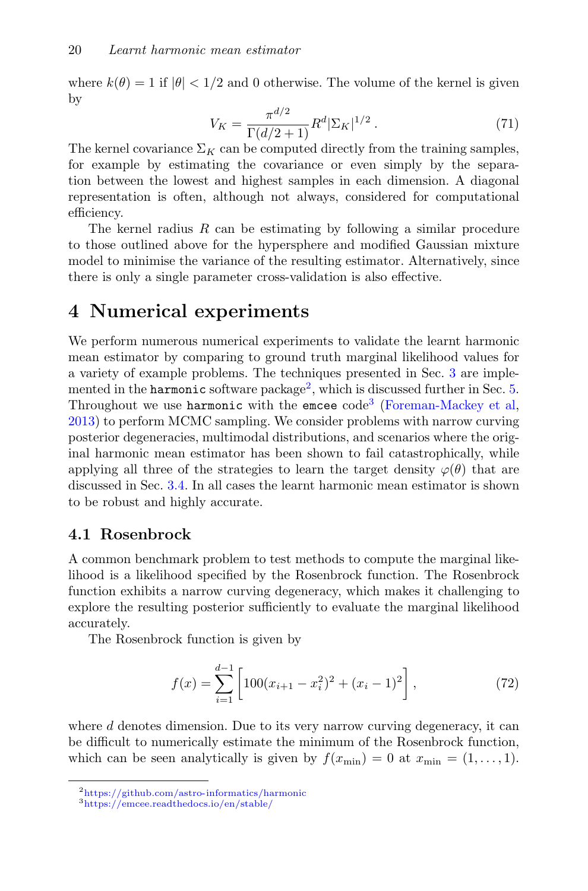where  $k(\theta) = 1$  if  $|\theta| < 1/2$  and 0 otherwise. The volume of the kernel is given by

$$
V_K = \frac{\pi^{d/2}}{\Gamma(d/2+1)} R^d |\Sigma_K|^{1/2} . \tag{71}
$$

The kernel covariance  $\Sigma_K$  can be computed directly from the training samples, for example by estimating the covariance or even simply by the separation between the lowest and highest samples in each dimension. A diagonal representation is often, although not always, considered for computational efficiency.

The kernel radius  $R$  can be estimating by following a similar procedure to those outlined above for the hypersphere and modified Gaussian mixture model to minimise the variance of the resulting estimator. Alternatively, since there is only a single parameter cross-validation is also effective.

## <span id="page-19-0"></span>4 Numerical experiments

We perform numerous numerical experiments to validate the learnt harmonic mean estimator by comparing to ground truth marginal likelihood values for a variety of example problems. The techniques presented in Sec. [3](#page-8-0) are implemented in the **harmonic** software package<sup>[2](#page-19-1)</sup>, which is discussed further in Sec. [5.](#page-32-0) Throughout we use harmonic with the emcee code<sup>[3](#page-19-2)</sup> [\(Foreman-Mackey et al,](#page-34-8) [2013\)](#page-34-8) to perform MCMC sampling. We consider problems with narrow curving posterior degeneracies, multimodal distributions, and scenarios where the original harmonic mean estimator has been shown to fail catastrophically, while applying all three of the strategies to learn the target density  $\varphi(\theta)$  that are discussed in Sec. [3.4.](#page-15-0) In all cases the learnt harmonic mean estimator is shown to be robust and highly accurate.

## 4.1 Rosenbrock

A common benchmark problem to test methods to compute the marginal likelihood is a likelihood specified by the Rosenbrock function. The Rosenbrock function exhibits a narrow curving degeneracy, which makes it challenging to explore the resulting posterior sufficiently to evaluate the marginal likelihood accurately.

The Rosenbrock function is given by

$$
f(x) = \sum_{i=1}^{d-1} \left[ 100(x_{i+1} - x_i^2)^2 + (x_i - 1)^2 \right],
$$
 (72)

where  $d$  denotes dimension. Due to its very narrow curving degeneracy, it can be difficult to numerically estimate the minimum of the Rosenbrock function, which can be seen analytically is given by  $f(x_{\min}) = 0$  at  $x_{\min} = (1, \ldots, 1)$ .

<span id="page-19-1"></span><sup>2</sup><https://github.com/astro-informatics/harmonic>

<span id="page-19-2"></span><sup>3</sup><https://emcee.readthedocs.io/en/stable/>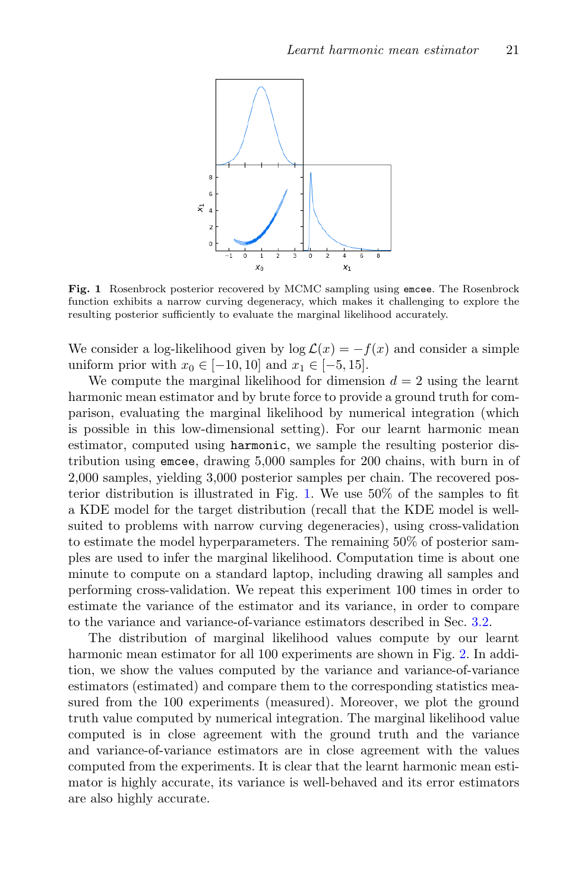

<span id="page-20-0"></span>Fig. 1 Rosenbrock posterior recovered by MCMC sampling using emcee. The Rosenbrock function exhibits a narrow curving degeneracy, which makes it challenging to explore the resulting posterior sufficiently to evaluate the marginal likelihood accurately.

We consider a log-likelihood given by  $log \mathcal{L}(x) = -f(x)$  and consider a simple uniform prior with  $x_0 \in [-10, 10]$  and  $x_1 \in [-5, 15]$ .

We compute the marginal likelihood for dimension  $d = 2$  using the learnt harmonic mean estimator and by brute force to provide a ground truth for comparison, evaluating the marginal likelihood by numerical integration (which is possible in this low-dimensional setting). For our learnt harmonic mean estimator, computed using harmonic, we sample the resulting posterior distribution using emcee, drawing 5,000 samples for 200 chains, with burn in of 2,000 samples, yielding 3,000 posterior samples per chain. The recovered posterior distribution is illustrated in Fig. [1.](#page-20-0) We use 50% of the samples to fit a KDE model for the target distribution (recall that the KDE model is wellsuited to problems with narrow curving degeneracies), using cross-validation to estimate the model hyperparameters. The remaining 50% of posterior samples are used to infer the marginal likelihood. Computation time is about one minute to compute on a standard laptop, including drawing all samples and performing cross-validation. We repeat this experiment 100 times in order to estimate the variance of the estimator and its variance, in order to compare to the variance and variance-of-variance estimators described in Sec. [3.2.](#page-11-1)

The distribution of marginal likelihood values compute by our learnt harmonic mean estimator for all 100 experiments are shown in Fig. [2.](#page-21-0) In addition, we show the values computed by the variance and variance-of-variance estimators (estimated) and compare them to the corresponding statistics measured from the 100 experiments (measured). Moreover, we plot the ground truth value computed by numerical integration. The marginal likelihood value computed is in close agreement with the ground truth and the variance and variance-of-variance estimators are in close agreement with the values computed from the experiments. It is clear that the learnt harmonic mean estimator is highly accurate, its variance is well-behaved and its error estimators are also highly accurate.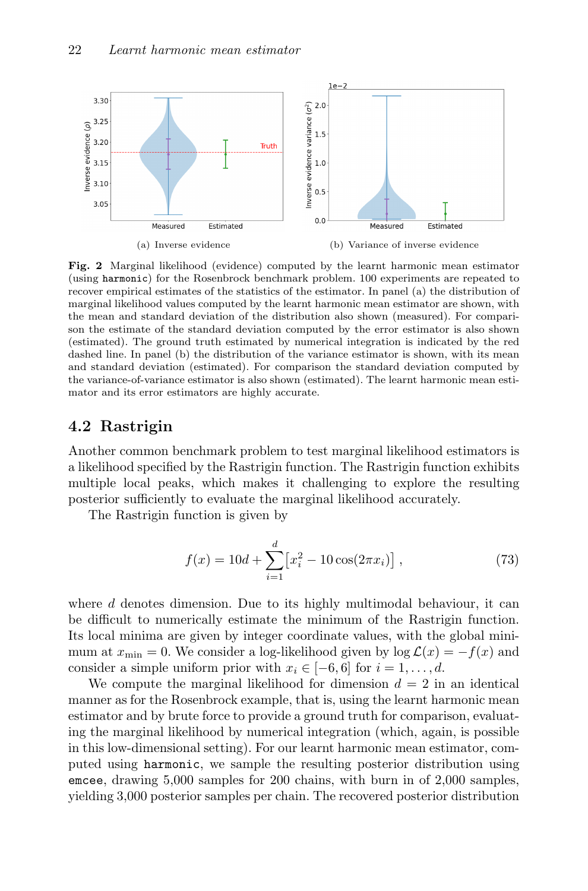

<span id="page-21-0"></span>Fig. 2 Marginal likelihood (evidence) computed by the learnt harmonic mean estimator (using harmonic) for the Rosenbrock benchmark problem. 100 experiments are repeated to recover empirical estimates of the statistics of the estimator. In panel (a) the distribution of marginal likelihood values computed by the learnt harmonic mean estimator are shown, with the mean and standard deviation of the distribution also shown (measured). For comparison the estimate of the standard deviation computed by the error estimator is also shown (estimated). The ground truth estimated by numerical integration is indicated by the red dashed line. In panel (b) the distribution of the variance estimator is shown, with its mean and standard deviation (estimated). For comparison the standard deviation computed by the variance-of-variance estimator is also shown (estimated). The learnt harmonic mean estimator and its error estimators are highly accurate.

## 4.2 Rastrigin

Another common benchmark problem to test marginal likelihood estimators is a likelihood specified by the Rastrigin function. The Rastrigin function exhibits multiple local peaks, which makes it challenging to explore the resulting posterior sufficiently to evaluate the marginal likelihood accurately.

The Rastrigin function is given by

$$
f(x) = 10d + \sum_{i=1}^{d} \left[ x_i^2 - 10\cos(2\pi x_i) \right],
$$
 (73)

where  $d$  denotes dimension. Due to its highly multimodal behaviour, it can be difficult to numerically estimate the minimum of the Rastrigin function. Its local minima are given by integer coordinate values, with the global minimum at  $x_{\min} = 0$ . We consider a log-likelihood given by  $\log \mathcal{L}(x) = -f(x)$  and consider a simple uniform prior with  $x_i \in [-6, 6]$  for  $i = 1, \ldots, d$ .

We compute the marginal likelihood for dimension  $d = 2$  in an identical manner as for the Rosenbrock example, that is, using the learnt harmonic mean estimator and by brute force to provide a ground truth for comparison, evaluating the marginal likelihood by numerical integration (which, again, is possible in this low-dimensional setting). For our learnt harmonic mean estimator, computed using harmonic, we sample the resulting posterior distribution using emcee, drawing 5,000 samples for 200 chains, with burn in of 2,000 samples, yielding 3,000 posterior samples per chain. The recovered posterior distribution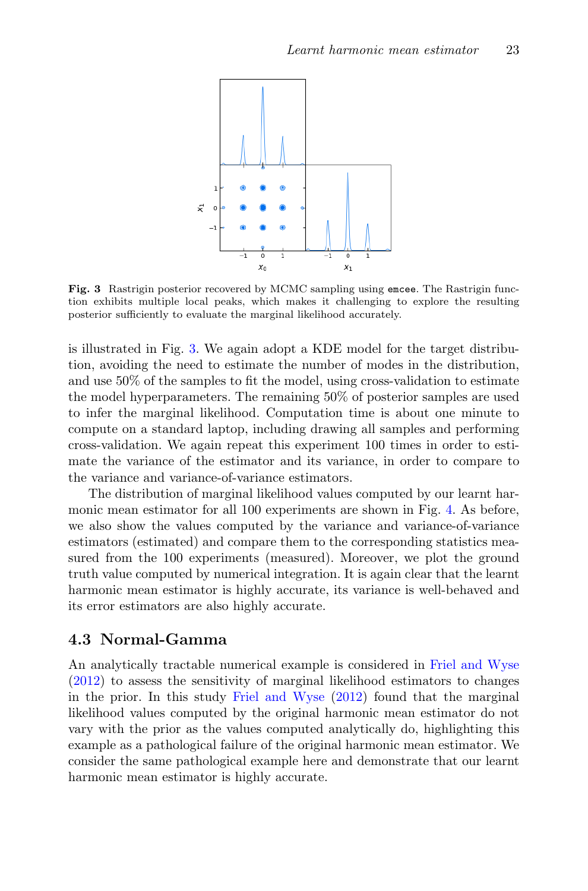

<span id="page-22-0"></span>Fig. 3 Rastrigin posterior recovered by MCMC sampling using emcee. The Rastrigin function exhibits multiple local peaks, which makes it challenging to explore the resulting posterior sufficiently to evaluate the marginal likelihood accurately.

is illustrated in Fig. [3.](#page-22-0) We again adopt a KDE model for the target distribution, avoiding the need to estimate the number of modes in the distribution, and use 50% of the samples to fit the model, using cross-validation to estimate the model hyperparameters. The remaining 50% of posterior samples are used to infer the marginal likelihood. Computation time is about one minute to compute on a standard laptop, including drawing all samples and performing cross-validation. We again repeat this experiment 100 times in order to estimate the variance of the estimator and its variance, in order to compare to the variance and variance-of-variance estimators.

The distribution of marginal likelihood values computed by our learnt harmonic mean estimator for all 100 experiments are shown in Fig. [4.](#page-23-0) As before, we also show the values computed by the variance and variance-of-variance estimators (estimated) and compare them to the corresponding statistics measured from the 100 experiments (measured). Moreover, we plot the ground truth value computed by numerical integration. It is again clear that the learnt harmonic mean estimator is highly accurate, its variance is well-behaved and its error estimators are also highly accurate.

### 4.3 Normal-Gamma

An analytically tractable numerical example is considered in [Friel and Wyse](#page-34-2) [\(2012\)](#page-34-2) to assess the sensitivity of marginal likelihood estimators to changes in the prior. In this study [Friel and Wyse](#page-34-2) [\(2012\)](#page-34-2) found that the marginal likelihood values computed by the original harmonic mean estimator do not vary with the prior as the values computed analytically do, highlighting this example as a pathological failure of the original harmonic mean estimator. We consider the same pathological example here and demonstrate that our learnt harmonic mean estimator is highly accurate.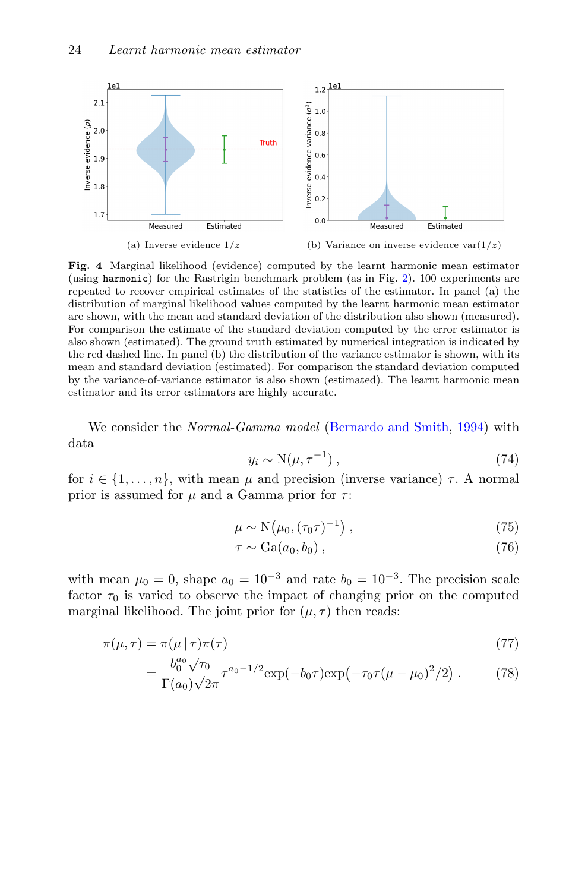

<span id="page-23-0"></span>Fig. 4 Marginal likelihood (evidence) computed by the learnt harmonic mean estimator (using harmonic) for the Rastrigin benchmark problem (as in Fig. [2\)](#page-21-0). 100 experiments are repeated to recover empirical estimates of the statistics of the estimator. In panel (a) the distribution of marginal likelihood values computed by the learnt harmonic mean estimator are shown, with the mean and standard deviation of the distribution also shown (measured). For comparison the estimate of the standard deviation computed by the error estimator is also shown (estimated). The ground truth estimated by numerical integration is indicated by the red dashed line. In panel (b) the distribution of the variance estimator is shown, with its mean and standard deviation (estimated). For comparison the standard deviation computed by the variance-of-variance estimator is also shown (estimated). The learnt harmonic mean estimator and its error estimators are highly accurate.

We consider the Normal-Gamma model [\(Bernardo and Smith,](#page-34-10) [1994\)](#page-34-10) with data

$$
y_i \sim \mathcal{N}(\mu, \tau^{-1}), \qquad (74)
$$

for  $i \in \{1, \ldots, n\}$ , with mean  $\mu$  and precision (inverse variance)  $\tau$ . A normal prior is assumed for  $\mu$  and a Gamma prior for  $\tau$ :

$$
\mu \sim \mathcal{N}\big(\mu_0, (\tau_0 \tau)^{-1}\big) \,,\tag{75}
$$

$$
\tau \sim \text{Ga}(a_0, b_0) \,, \tag{76}
$$

with mean  $\mu_0 = 0$ , shape  $a_0 = 10^{-3}$  and rate  $b_0 = 10^{-3}$ . The precision scale factor  $\tau_0$  is varied to observe the impact of changing prior on the computed marginal likelihood. The joint prior for  $(\mu, \tau)$  then reads:

$$
\pi(\mu,\tau) = \pi(\mu \mid \tau)\pi(\tau) \tag{77}
$$

$$
= \frac{b_0^{a_0}\sqrt{\tau_0}}{\Gamma(a_0)\sqrt{2\pi}} \tau^{a_0 - 1/2} \exp(-b_0\tau) \exp(-\tau_0\tau(\mu - \mu_0)^2/2) . \tag{78}
$$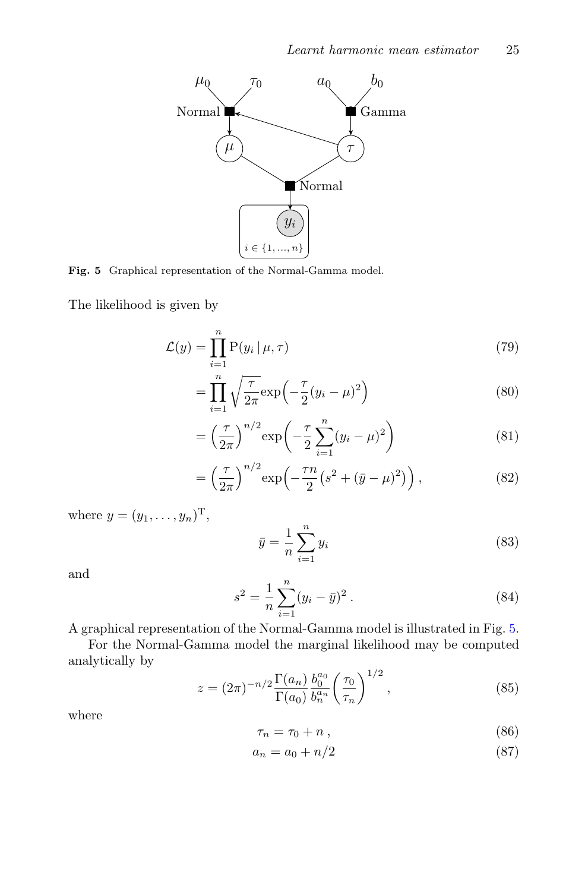

<span id="page-24-0"></span>Fig. 5 Graphical representation of the Normal-Gamma model.

The likelihood is given by

$$
\mathcal{L}(y) = \prod_{i=1}^{n} \mathcal{P}(y_i | \mu, \tau)
$$
\n(79)

$$
=\prod_{i=1}^{n} \sqrt{\frac{\tau}{2\pi}} \exp\left(-\frac{\tau}{2}(y_i-\mu)^2\right) \tag{80}
$$

$$
= \left(\frac{\tau}{2\pi}\right)^{n/2} \exp\left(-\frac{\tau}{2} \sum_{i=1}^{n} (y_i - \mu)^2\right)
$$
 (81)

$$
= \left(\frac{\tau}{2\pi}\right)^{n/2} \exp\left(-\frac{\tau n}{2} \left(s^2 + (\bar{y} - \mu)^2\right)\right),\tag{82}
$$

where  $y = (y_1, ..., y_n)^{\mathrm{T}},$ 

$$
\bar{y} = \frac{1}{n} \sum_{i=1}^{n} y_i \tag{83}
$$

and

$$
s^{2} = \frac{1}{n} \sum_{i=1}^{n} (y_{i} - \bar{y})^{2}.
$$
 (84)

A graphical representation of the Normal-Gamma model is illustrated in Fig. [5.](#page-24-0)

For the Normal-Gamma model the marginal likelihood may be computed analytically by

$$
z = (2\pi)^{-n/2} \frac{\Gamma(a_n)}{\Gamma(a_0)} \frac{b_0^{a_0}}{b_n^{a_n}} \left(\frac{\tau_0}{\tau_n}\right)^{1/2}, \qquad (85)
$$

where

$$
\tau_n = \tau_0 + n \,,\tag{86}
$$

$$
a_n = a_0 + n/2 \tag{87}
$$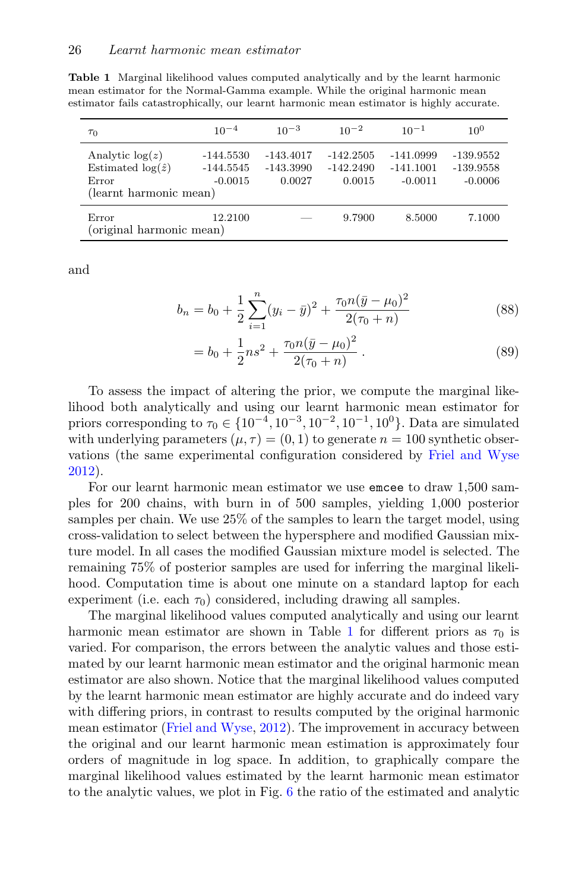<span id="page-25-0"></span>Table 1 Marginal likelihood values computed analytically and by the learnt harmonic mean estimator for the Normal-Gamma example. While the original harmonic mean estimator fails catastrophically, our learnt harmonic mean estimator is highly accurate.

| $\tau_0$                                                                         | $10^{-4}$                               | $10^{-3}$                            | $10^{-2}$                            | $10^{-1}$                             | $10^{0}$                                |
|----------------------------------------------------------------------------------|-----------------------------------------|--------------------------------------|--------------------------------------|---------------------------------------|-----------------------------------------|
| Analytic $log(z)$<br>Estimated $log(\hat{z})$<br>Error<br>(learnt harmonic mean) | $-144.5530$<br>$-144.5545$<br>$-0.0015$ | $-143.4017$<br>$-143.3990$<br>0.0027 | $-142.2505$<br>$-142.2490$<br>0.0015 | -141.0999<br>$-141.1001$<br>$-0.0011$ | $-139.9552$<br>$-139.9558$<br>$-0.0006$ |
| Error<br>(original harmonic mean)                                                | 12.2100                                 |                                      | 9.7900                               | 8.5000                                | 7.1000                                  |

and

$$
b_n = b_0 + \frac{1}{2} \sum_{i=1}^n (y_i - \bar{y})^2 + \frac{\tau_0 n(\bar{y} - \mu_0)^2}{2(\tau_0 + n)}
$$
(88)

$$
= b_0 + \frac{1}{2}ns^2 + \frac{\tau_0 n(\bar{y} - \mu_0)^2}{2(\tau_0 + n)}.
$$
\n(89)

To assess the impact of altering the prior, we compute the marginal likelihood both analytically and using our learnt harmonic mean estimator for priors corresponding to  $\tau_0 \in \{10^{-4}, 10^{-3}, 10^{-2}, 10^{-1}, 10^0\}$ . Data are simulated with underlying parameters  $(\mu, \tau) = (0, 1)$  to generate  $n = 100$  synthetic observations (the same experimental configuration considered by [Friel and Wyse](#page-34-2) [2012\)](#page-34-2).

For our learnt harmonic mean estimator we use emcee to draw 1,500 samples for 200 chains, with burn in of 500 samples, yielding 1,000 posterior samples per chain. We use 25% of the samples to learn the target model, using cross-validation to select between the hypersphere and modified Gaussian mixture model. In all cases the modified Gaussian mixture model is selected. The remaining 75% of posterior samples are used for inferring the marginal likelihood. Computation time is about one minute on a standard laptop for each experiment (i.e. each  $\tau_0$ ) considered, including drawing all samples.

The marginal likelihood values computed analytically and using our learnt harmonic mean estimator are shown in Table [1](#page-25-0) for different priors as  $\tau_0$  is varied. For comparison, the errors between the analytic values and those estimated by our learnt harmonic mean estimator and the original harmonic mean estimator are also shown. Notice that the marginal likelihood values computed by the learnt harmonic mean estimator are highly accurate and do indeed vary with differing priors, in contrast to results computed by the original harmonic mean estimator [\(Friel and Wyse,](#page-34-2) [2012\)](#page-34-2). The improvement in accuracy between the original and our learnt harmonic mean estimation is approximately four orders of magnitude in log space. In addition, to graphically compare the marginal likelihood values estimated by the learnt harmonic mean estimator to the analytic values, we plot in Fig. [6](#page-26-0) the ratio of the estimated and analytic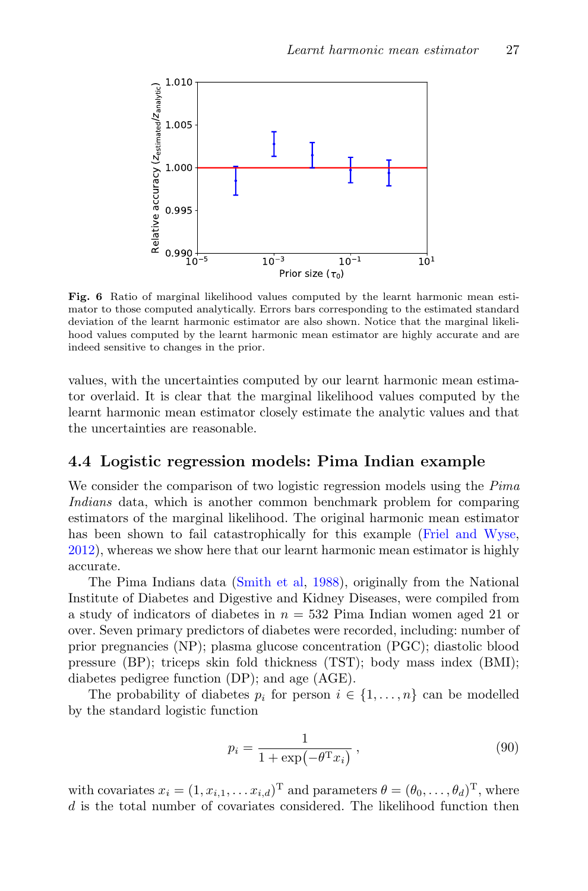

<span id="page-26-0"></span>Fig. 6 Ratio of marginal likelihood values computed by the learnt harmonic mean estimator to those computed analytically. Errors bars corresponding to the estimated standard deviation of the learnt harmonic estimator are also shown. Notice that the marginal likelihood values computed by the learnt harmonic mean estimator are highly accurate and are indeed sensitive to changes in the prior.

values, with the uncertainties computed by our learnt harmonic mean estimator overlaid. It is clear that the marginal likelihood values computed by the learnt harmonic mean estimator closely estimate the analytic values and that the uncertainties are reasonable.

## 4.4 Logistic regression models: Pima Indian example

We consider the comparison of two logistic regression models using the Pima Indians data, which is another common benchmark problem for comparing estimators of the marginal likelihood. The original harmonic mean estimator has been shown to fail catastrophically for this example [\(Friel and Wyse,](#page-34-2) [2012\)](#page-34-2), whereas we show here that our learnt harmonic mean estimator is highly accurate.

The Pima Indians data [\(Smith et al,](#page-36-8) [1988\)](#page-36-8), originally from the National Institute of Diabetes and Digestive and Kidney Diseases, were compiled from a study of indicators of diabetes in  $n = 532$  Pima Indian women aged 21 or over. Seven primary predictors of diabetes were recorded, including: number of prior pregnancies (NP); plasma glucose concentration (PGC); diastolic blood pressure (BP); triceps skin fold thickness (TST); body mass index (BMI); diabetes pedigree function (DP); and age (AGE).

The probability of diabetes  $p_i$  for person  $i \in \{1, \ldots, n\}$  can be modelled by the standard logistic function

$$
p_i = \frac{1}{1 + \exp(-\theta^{\mathrm{T}} x_i)},\tag{90}
$$

with covariates  $x_i = (1, x_{i,1}, \dots x_{i,d})^T$  and parameters  $\theta = (\theta_0, \dots, \theta_d)^T$ , where d is the total number of covariates considered. The likelihood function then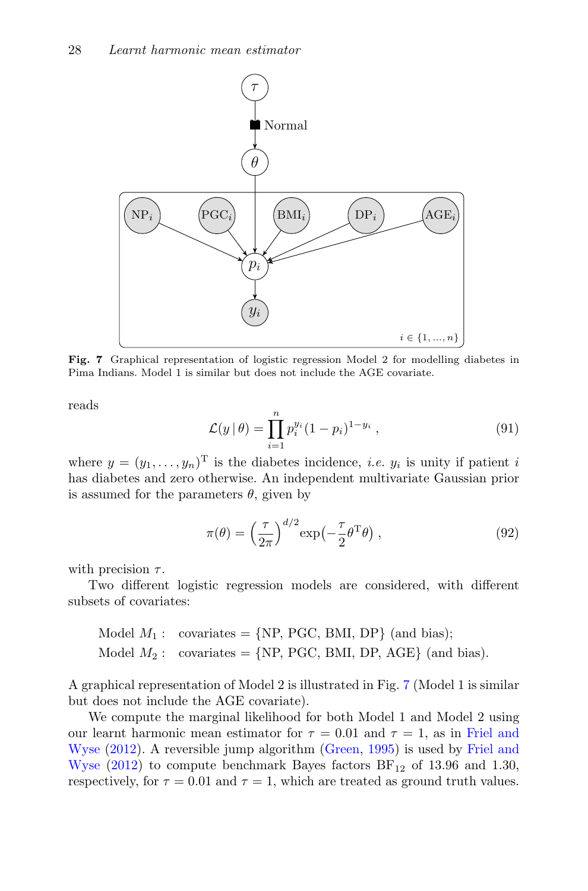

<span id="page-27-0"></span>Fig. 7 Graphical representation of logistic regression Model 2 for modelling diabetes in Pima Indians. Model 1 is similar but does not include the AGE covariate.

reads

$$
\mathcal{L}(y | \theta) = \prod_{i=1}^{n} p_i^{y_i} (1 - p_i)^{1 - y_i}, \qquad (91)
$$

where  $y = (y_1, \ldots, y_n)$ <sup>T</sup> is the diabetes incidence, *i.e.*  $y_i$  is unity if patient *i* has diabetes and zero otherwise. An independent multivariate Gaussian prior is assumed for the parameters  $\theta$ , given by

$$
\pi(\theta) = \left(\frac{\tau}{2\pi}\right)^{d/2} \exp\left(-\frac{\tau}{2}\theta^{\mathrm{T}}\theta\right),\tag{92}
$$

with precision  $\tau$ .

Two different logistic regression models are considered, with different subsets of covariates:

Model 
$$
M_1
$$
: covariates = {NP, PGC, BMI, DP} (and bias);  
Model  $M_2$ : covariates = {NP, PGC, BMI, DP, AGE} (and bias).

A graphical representation of Model 2 is illustrated in Fig. [7](#page-27-0) (Model 1 is similar but does not include the AGE covariate).

We compute the marginal likelihood for both Model 1 and Model 2 using our learnt harmonic mean estimator for  $\tau = 0.01$  and  $\tau = 1$ , as in [Friel and](#page-34-2) [Wyse](#page-34-2) [\(2012\)](#page-34-2). A reversible jump algorithm [\(Green,](#page-35-13) [1995\)](#page-35-13) is used by [Friel and](#page-34-2) [Wyse](#page-34-2)  $(2012)$  to compute benchmark Bayes factors  $BF_{12}$  of 13.96 and 1.30, respectively, for  $\tau = 0.01$  and  $\tau = 1$ , which are treated as ground truth values.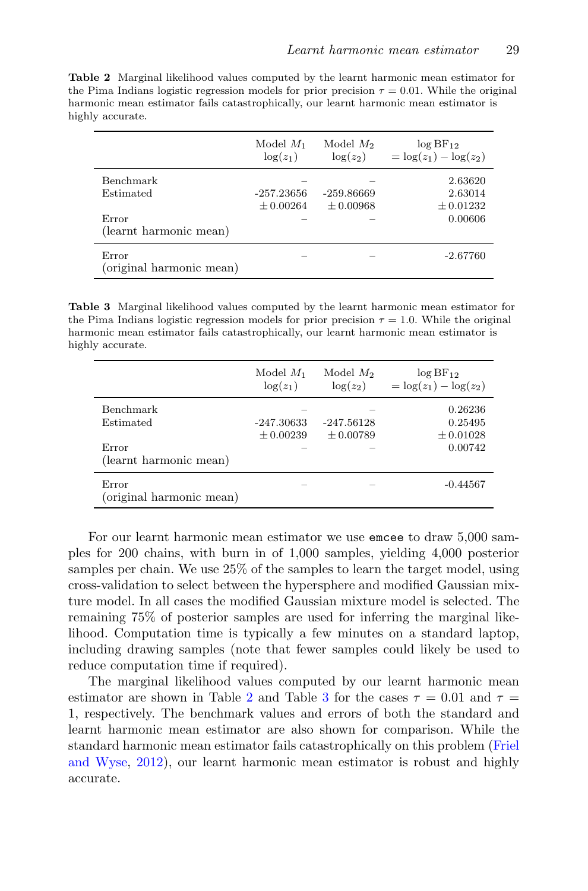<span id="page-28-0"></span>Table 2 Marginal likelihood values computed by the learnt harmonic mean estimator for the Pima Indians logistic regression models for prior precision  $\tau = 0.01$ . While the original harmonic mean estimator fails catastrophically, our learnt harmonic mean estimator is highly accurate.

|                                   | Model $M_1$<br>$\log(z_1)$ | Model $M_2$<br>$\log(z_2)$ | $log BF_{12}$<br>$=\log(z_1)-\log(z_2)$ |
|-----------------------------------|----------------------------|----------------------------|-----------------------------------------|
| Benchmark                         |                            |                            | 2.63620                                 |
| Estimated                         | $-257.23656$               | $-259.86669$               | 2.63014                                 |
|                                   | $+0.00264$                 | $\pm 0.00968$              | $\pm 0.01232$                           |
| Error                             |                            |                            | 0.00606                                 |
| (learnt harmonic mean)            |                            |                            |                                         |
| Error<br>(original harmonic mean) |                            |                            | $-2.67760$                              |

<span id="page-28-1"></span>Table 3 Marginal likelihood values computed by the learnt harmonic mean estimator for the Pima Indians logistic regression models for prior precision  $\tau = 1.0$ . While the original harmonic mean estimator fails catastrophically, our learnt harmonic mean estimator is highly accurate.

|                                   | Model $M_1$<br>$\log(z_1)$  | Model $M_2$<br>$\log(z_2)$    | $log BF_{12}$<br>$=\log(z_1)-\log(z_2)$ |
|-----------------------------------|-----------------------------|-------------------------------|-----------------------------------------|
| Benchmark<br>Estimated            | -247.30633<br>$\pm 0.00239$ | $-247.56128$<br>$\pm 0.00789$ | 0.26236<br>0.25495<br>$\pm 0.01028$     |
| Error<br>(learnt harmonic mean)   |                             |                               | 0.00742                                 |
| Error<br>(original harmonic mean) |                             |                               | $-0.44567$                              |

For our learnt harmonic mean estimator we use emcee to draw 5,000 samples for 200 chains, with burn in of 1,000 samples, yielding 4,000 posterior samples per chain. We use 25% of the samples to learn the target model, using cross-validation to select between the hypersphere and modified Gaussian mixture model. In all cases the modified Gaussian mixture model is selected. The remaining 75% of posterior samples are used for inferring the marginal likelihood. Computation time is typically a few minutes on a standard laptop, including drawing samples (note that fewer samples could likely be used to reduce computation time if required).

The marginal likelihood values computed by our learnt harmonic mean estimator are shown in Table [2](#page-28-0) and Table [3](#page-28-1) for the cases  $\tau = 0.01$  and  $\tau =$ 1, respectively. The benchmark values and errors of both the standard and learnt harmonic mean estimator are also shown for comparison. While the standard harmonic mean estimator fails catastrophically on this problem [\(Friel](#page-34-2) [and Wyse,](#page-34-2) [2012\)](#page-34-2), our learnt harmonic mean estimator is robust and highly accurate.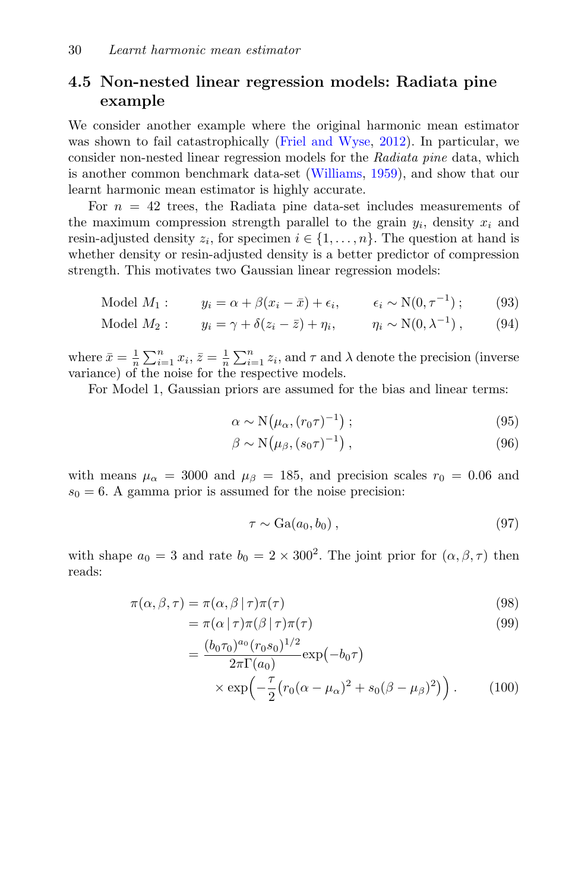## 4.5 Non-nested linear regression models: Radiata pine example

We consider another example where the original harmonic mean estimator was shown to fail catastrophically [\(Friel and Wyse,](#page-34-2) [2012\)](#page-34-2). In particular, we consider non-nested linear regression models for the Radiata pine data, which is another common benchmark data-set [\(Williams,](#page-36-9) [1959\)](#page-36-9), and show that our learnt harmonic mean estimator is highly accurate.

For  $n = 42$  trees, the Radiata pine data-set includes measurements of the maximum compression strength parallel to the grain  $y_i$ , density  $x_i$  and resin-adjusted density  $z_i$ , for specimen  $i \in \{1, ..., n\}$ . The question at hand is whether density or resin-adjusted density is a better predictor of compression strength. This motivates two Gaussian linear regression models:

Model 
$$
M_1
$$
:  $y_i = \alpha + \beta(x_i - \bar{x}) + \epsilon_i$ ,  $\epsilon_i \sim N(0, \tau^{-1})$ ; (93)

Model 
$$
M_2
$$
:  $y_i = \gamma + \delta(z_i - \bar{z}) + \eta_i$ ,  $\eta_i \sim N(0, \lambda^{-1})$ , (94)

where  $\bar{x} = \frac{1}{n} \sum_{i=1}^{n} x_i$ ,  $\bar{z} = \frac{1}{n} \sum_{i=1}^{n} z_i$ , and  $\tau$  and  $\lambda$  denote the precision (inverse variance) of the noise for the respective models.

For Model 1, Gaussian priors are assumed for the bias and linear terms:

$$
\alpha \sim \mathcal{N}\big(\mu_{\alpha}, (r_0 \tau)^{-1}\big) \tag{95}
$$

$$
\beta \sim \mathcal{N}(\mu_{\beta}, (s_0 \tau)^{-1}), \qquad (96)
$$

with means  $\mu_{\alpha} = 3000$  and  $\mu_{\beta} = 185$ , and precision scales  $r_0 = 0.06$  and  $s_0 = 6$ . A gamma prior is assumed for the noise precision:

$$
\tau \sim \text{Ga}(a_0, b_0) \,, \tag{97}
$$

with shape  $a_0 = 3$  and rate  $b_0 = 2 \times 300^2$ . The joint prior for  $(\alpha, \beta, \tau)$  then reads:

$$
\pi(\alpha, \beta, \tau) = \pi(\alpha, \beta \mid \tau)\pi(\tau)
$$
\n(98)

$$
= \pi(\alpha \mid \tau) \pi(\beta \mid \tau) \pi(\tau) \tag{99}
$$

$$
= \frac{(b_0 \tau_0)^{a_0} (r_0 s_0)^{1/2}}{2\pi \Gamma(a_0)} \exp(-b_0 \tau)
$$
  
×  $\exp\left(-\frac{\tau}{2} (r_0 (\alpha - \mu_\alpha)^2 + s_0 (\beta - \mu_\beta)^2) \right)$ . (100)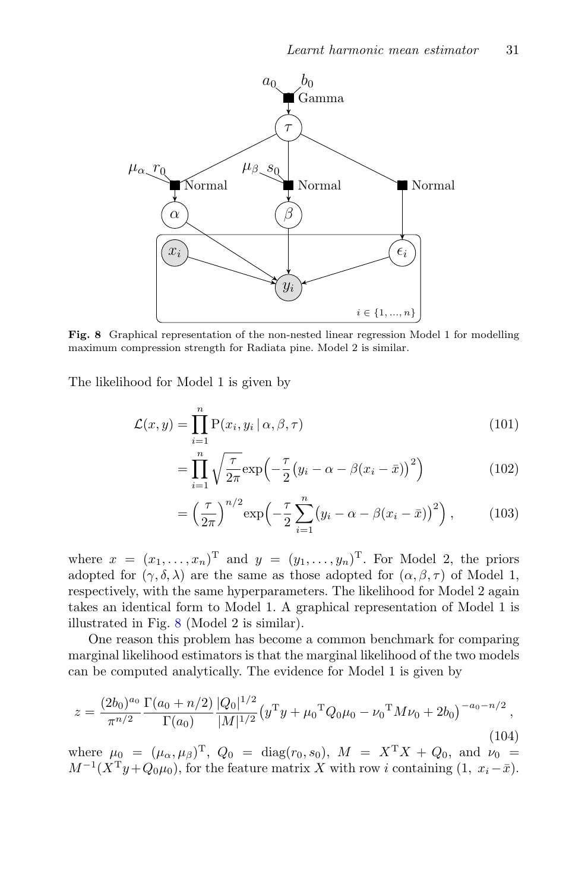

<span id="page-30-0"></span>Fig. 8 Graphical representation of the non-nested linear regression Model 1 for modelling maximum compression strength for Radiata pine. Model 2 is similar.

The likelihood for Model 1 is given by

$$
\mathcal{L}(x, y) = \prod_{i=1}^{n} P(x_i, y_i | \alpha, \beta, \tau)
$$
\n(101)

$$
= \prod_{i=1}^{n} \sqrt{\frac{\tau}{2\pi}} \exp\left(-\frac{\tau}{2} \left(y_i - \alpha - \beta(x_i - \bar{x})\right)^2\right) \tag{102}
$$

$$
= \left(\frac{\tau}{2\pi}\right)^{n/2} \exp\left(-\frac{\tau}{2}\sum_{i=1}^{n} \left(y_i - \alpha - \beta(x_i - \bar{x})\right)^2\right),\tag{103}
$$

where  $x = (x_1, \ldots, x_n)^T$  and  $y = (y_1, \ldots, y_n)^T$ . For Model 2, the priors adopted for  $(\gamma, \delta, \lambda)$  are the same as those adopted for  $(\alpha, \beta, \tau)$  of Model 1, respectively, with the same hyperparameters. The likelihood for Model 2 again takes an identical form to Model 1. A graphical representation of Model 1 is illustrated in Fig. [8](#page-30-0) (Model 2 is similar).

One reason this problem has become a common benchmark for comparing marginal likelihood estimators is that the marginal likelihood of the two models can be computed analytically. The evidence for Model 1 is given by

<span id="page-30-1"></span>
$$
z = \frac{(2b_0)^{a_0}}{\pi^{n/2}} \frac{\Gamma(a_0 + n/2)}{\Gamma(a_0)} \frac{|Q_0|^{1/2}}{|M|^{1/2}} \left(y^{\mathrm{T}} y + \mu_0^{\mathrm{T}} Q_0 \mu_0 - \nu_0^{\mathrm{T}} M \nu_0 + 2b_0\right)^{-a_0 - n/2},\tag{104}
$$

where  $\mu_0 = (\mu_\alpha, \mu_\beta)^T$ ,  $Q_0 = \text{diag}(r_0, s_0)$ ,  $M = X^T X + Q_0$ , and  $\nu_0 =$  $M^{-1}(X^{T}y+Q_{0}\mu_{0}),$  for the feature matrix X with row i containing  $(1, x_{i}-\bar{x}).$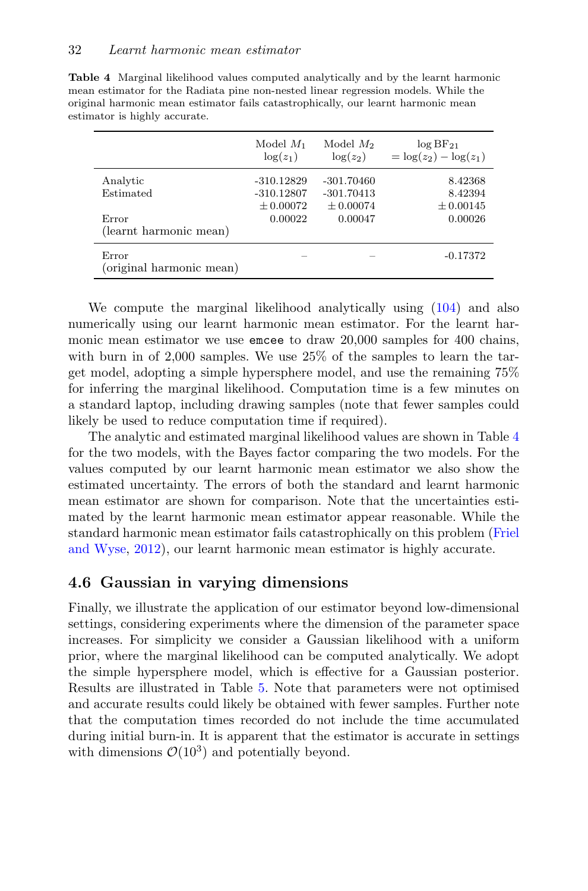|                                   | Model $M_1$<br>$\log(z_1)$ | Model $M_2$<br>$\log(z_2)$ | $log BF_{21}$<br>$= \log(z_2) - \log(z_1)$ |
|-----------------------------------|----------------------------|----------------------------|--------------------------------------------|
| Analytic                          | $-310.12829$               | $-301.70460$               | 8.42368                                    |
| Estimated                         | $-310.12807$               | $-301.70413$               | 8.42394                                    |
|                                   | $+0.00072$                 | $\pm 0.00074$              | $\pm 0.00145$                              |
| Error                             | 0.00022                    | 0.00047                    | 0.00026                                    |
| (learnt harmonic mean)            |                            |                            |                                            |
| Error<br>(original harmonic mean) |                            |                            | $-0.17372$                                 |

<span id="page-31-0"></span>Table 4 Marginal likelihood values computed analytically and by the learnt harmonic mean estimator for the Radiata pine non-nested linear regression models. While the original harmonic mean estimator fails catastrophically, our learnt harmonic mean estimator is highly accurate.

We compute the marginal likelihood analytically using [\(104\)](#page-30-1) and also numerically using our learnt harmonic mean estimator. For the learnt harmonic mean estimator we use emcee to draw 20,000 samples for 400 chains, with burn in of 2,000 samples. We use 25% of the samples to learn the target model, adopting a simple hypersphere model, and use the remaining 75% for inferring the marginal likelihood. Computation time is a few minutes on a standard laptop, including drawing samples (note that fewer samples could likely be used to reduce computation time if required).

The analytic and estimated marginal likelihood values are shown in Table [4](#page-31-0) for the two models, with the Bayes factor comparing the two models. For the values computed by our learnt harmonic mean estimator we also show the estimated uncertainty. The errors of both the standard and learnt harmonic mean estimator are shown for comparison. Note that the uncertainties estimated by the learnt harmonic mean estimator appear reasonable. While the standard harmonic mean estimator fails catastrophically on this problem [\(Friel](#page-34-2) [and Wyse,](#page-34-2) [2012\)](#page-34-2), our learnt harmonic mean estimator is highly accurate.

## 4.6 Gaussian in varying dimensions

Finally, we illustrate the application of our estimator beyond low-dimensional settings, considering experiments where the dimension of the parameter space increases. For simplicity we consider a Gaussian likelihood with a uniform prior, where the marginal likelihood can be computed analytically. We adopt the simple hypersphere model, which is effective for a Gaussian posterior. Results are illustrated in Table [5.](#page-32-1) Note that parameters were not optimised and accurate results could likely be obtained with fewer samples. Further note that the computation times recorded do not include the time accumulated during initial burn-in. It is apparent that the estimator is accurate in settings with dimensions  $\mathcal{O}(10^3)$  and potentially beyond.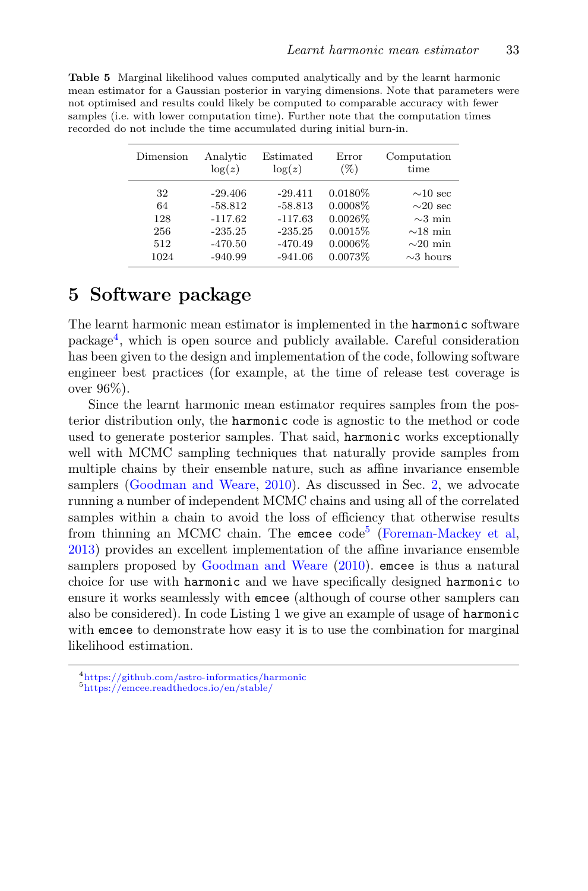| Dimension | Analytic  | Estimated | Error      | Computation    |
|-----------|-----------|-----------|------------|----------------|
|           | $\log(z)$ | $\log(z)$ | $(\%)$     | time           |
| 32        | $-29.406$ | $-29.411$ | $0.0180\%$ | $\sim 10$ sec  |
| 64        | $-58.812$ | $-58.813$ | $0.0008\%$ | $\sim20$ sec   |
| 128       | $-117.62$ | $-117.63$ | $0.0026\%$ | $\sim$ 3 min   |
| 256       | $-235.25$ | $-235.25$ | 0.0015%    | $\sim$ 18 min  |
| 512       | $-470.50$ | $-470.49$ | 0.0006%    | $\sim$ 20 min  |
| 1024      | $-940.99$ | $-941.06$ | 0.0073%    | $\sim$ 3 hours |

<span id="page-32-1"></span>Table 5 Marginal likelihood values computed analytically and by the learnt harmonic mean estimator for a Gaussian posterior in varying dimensions. Note that parameters were not optimised and results could likely be computed to comparable accuracy with fewer samples (i.e. with lower computation time). Further note that the computation times recorded do not include the time accumulated during initial burn-in.

## <span id="page-32-0"></span>5 Software package

The learnt harmonic mean estimator is implemented in the harmonic software package[4](#page-32-2) , which is open source and publicly available. Careful consideration has been given to the design and implementation of the code, following software engineer best practices (for example, at the time of release test coverage is over 96%).

Since the learnt harmonic mean estimator requires samples from the posterior distribution only, the harmonic code is agnostic to the method or code used to generate posterior samples. That said, harmonic works exceptionally well with MCMC sampling techniques that naturally provide samples from multiple chains by their ensemble nature, such as affine invariance ensemble samplers [\(Goodman and Weare,](#page-35-12) [2010\)](#page-35-12). As discussed in Sec. [2,](#page-4-0) we advocate running a number of independent MCMC chains and using all of the correlated samples within a chain to avoid the loss of efficiency that otherwise results from thinning an MCMC chain. The emcee code<sup>[5](#page-32-3)</sup> [\(Foreman-Mackey et al,](#page-34-8) [2013\)](#page-34-8) provides an excellent implementation of the affine invariance ensemble samplers proposed by [Goodman and Weare](#page-35-12) [\(2010\)](#page-35-12). emcee is thus a natural choice for use with harmonic and we have specifically designed harmonic to ensure it works seamlessly with emcee (although of course other samplers can also be considered). In code Listing 1 we give an example of usage of harmonic with emcee to demonstrate how easy it is to use the combination for marginal likelihood estimation.

<span id="page-32-2"></span><sup>4</sup><https://github.com/astro-informatics/harmonic>

<span id="page-32-3"></span><sup>5</sup><https://emcee.readthedocs.io/en/stable/>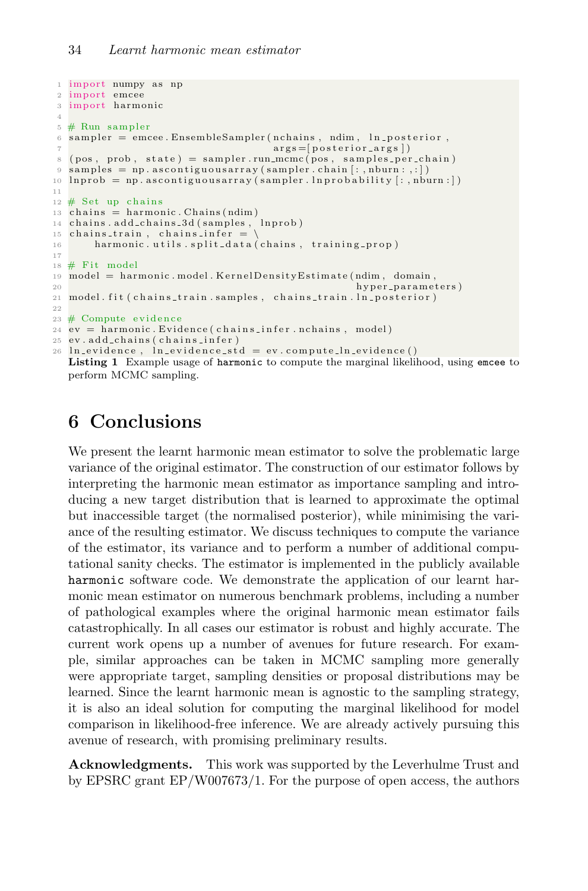```
1 import numpy as np
2 import emcee
3 import harmonic
4
5 \# Run sampler
6 sampler = emcee. EnsembleSampler (nchains, ndim, ln_posterior,
                                            \arg s = [posterior = arg s]8 \text{ (pos, prob, state)} = \text{ sampler.run.mcmc} (\text{pos, samples-per-chain})9 samples = np. as contiguous array (sampler. chain [:, nburn : , : ])
10 \ln \text{prob} = \text{np.a} \text{scontiguous} \text{array} (\text{sampler.lnprobability}[:\text{,} \text{rburn} : ] )11
12 \# Set up chains
\frac{13}{13} chains = harmonic. Chains (ndim)<br>14 chains . add_chains _3d (samples, lnprob)
14 chains . add_chains_3d (samples,
15 chains_train, chains_infer = \setminus16 harmonic utils split data (chains, training prop)
17
18 \# Fit model
19 model = harmonic . model . KernelDensity Estimate (ndim, domain, h hyper parameter)
                                                             h y p er _p ar a m e t er s )
21 model. fit ( chains_train . samples, chains_train . ln_posterior)
22
23 \# Compute evidence
24 ev = harmonic. Evidence (chains_infer.nchains, model)
25 ev. add_chains ( chains_infer )
26 ln_evidence, ln_evidence_std = ev.compute_ln_evidence()
   Listing 1 Example usage of harmonic to compute the marginal likelihood, using emcee to
```
perform MCMC sampling.

## <span id="page-33-0"></span>6 Conclusions

We present the learnt harmonic mean estimator to solve the problematic large variance of the original estimator. The construction of our estimator follows by interpreting the harmonic mean estimator as importance sampling and introducing a new target distribution that is learned to approximate the optimal but inaccessible target (the normalised posterior), while minimising the variance of the resulting estimator. We discuss techniques to compute the variance of the estimator, its variance and to perform a number of additional computational sanity checks. The estimator is implemented in the publicly available harmonic software code. We demonstrate the application of our learnt harmonic mean estimator on numerous benchmark problems, including a number of pathological examples where the original harmonic mean estimator fails catastrophically. In all cases our estimator is robust and highly accurate. The current work opens up a number of avenues for future research. For example, similar approaches can be taken in MCMC sampling more generally were appropriate target, sampling densities or proposal distributions may be learned. Since the learnt harmonic mean is agnostic to the sampling strategy, it is also an ideal solution for computing the marginal likelihood for model comparison in likelihood-free inference. We are already actively pursuing this avenue of research, with promising preliminary results.

Acknowledgments. This work was supported by the Leverhulme Trust and by EPSRC grant EP/W007673/1. For the purpose of open access, the authors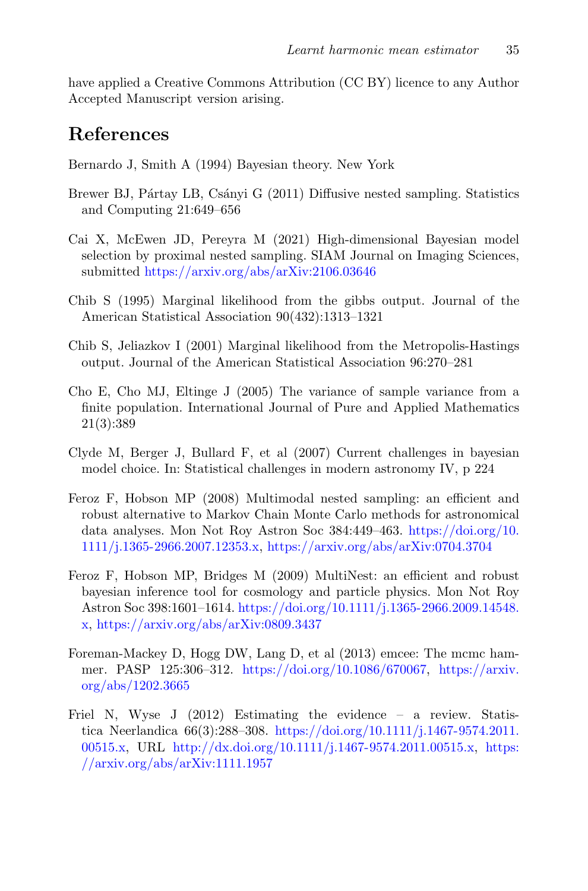have applied a Creative Commons Attribution (CC BY) licence to any Author Accepted Manuscript version arising.

## References

<span id="page-34-10"></span>Bernardo J, Smith A (1994) Bayesian theory. New York

- <span id="page-34-7"></span>Brewer BJ, Pártay LB, Csányi G (2011) Diffusive nested sampling. Statistics and Computing 21:649–656
- <span id="page-34-1"></span>Cai X, McEwen JD, Pereyra M (2021) High-dimensional Bayesian model selection by proximal nested sampling. SIAM Journal on Imaging Sciences, submitted [https://arxiv.org/abs/arXiv:2106.03646]({https://arxiv.org/abs/arXiv:2106.03646})
- <span id="page-34-3"></span>Chib S (1995) Marginal likelihood from the gibbs output. Journal of the American Statistical Association 90(432):1313–1321
- <span id="page-34-4"></span>Chib S, Jeliazkov I (2001) Marginal likelihood from the Metropolis-Hastings output. Journal of the American Statistical Association 96:270–281
- <span id="page-34-9"></span>Cho E, Cho MJ, Eltinge J (2005) The variance of sample variance from a finite population. International Journal of Pure and Applied Mathematics 21(3):389
- <span id="page-34-0"></span>Clyde M, Berger J, Bullard F, et al (2007) Current challenges in bayesian model choice. In: Statistical challenges in modern astronomy IV, p 224
- <span id="page-34-5"></span>Feroz F, Hobson MP (2008) Multimodal nested sampling: an efficient and robust alternative to Markov Chain Monte Carlo methods for astronomical data analyses. Mon Not Roy Astron Soc 384:449–463. [https://doi.org/10.](https://doi.org/10.1111/j.1365-2966.2007.12353.x) [1111/j.1365-2966.2007.12353.x,](https://doi.org/10.1111/j.1365-2966.2007.12353.x) [https://arxiv.org/abs/arXiv:0704.3704]({https://arxiv.org/abs/arXiv:arXiv:0704.3704})
- <span id="page-34-6"></span>Feroz F, Hobson MP, Bridges M (2009) MultiNest: an efficient and robust bayesian inference tool for cosmology and particle physics. Mon Not Roy Astron Soc 398:1601–1614. [https://doi.org/10.1111/j.1365-2966.2009.14548.](https://doi.org/10.1111/j.1365-2966.2009.14548.x) [x,](https://doi.org/10.1111/j.1365-2966.2009.14548.x) [https://arxiv.org/abs/arXiv:0809.3437]({https://arxiv.org/abs/arXiv:arXiv:0809.3437})
- <span id="page-34-8"></span>Foreman-Mackey D, Hogg DW, Lang D, et al (2013) emcee: The mcmc hammer. PASP 125:306–312. [https://doi.org/10.1086/670067,](https://doi.org/10.1086/670067) [https://arxiv.]({https://arxiv.org/abs/1202.3665}) [org/abs/1202.3665]({https://arxiv.org/abs/1202.3665})
- <span id="page-34-2"></span>Friel N, Wyse J (2012) Estimating the evidence – a review. Statistica Neerlandica 66(3):288–308. [https://doi.org/10.1111/j.1467-9574.2011.](https://doi.org/10.1111/j.1467-9574.2011.00515.x) [00515.x,](https://doi.org/10.1111/j.1467-9574.2011.00515.x) URL [http://dx.doi.org/10.1111/j.1467-9574.2011.00515.x,](http://dx.doi.org/10.1111/j.1467-9574.2011.00515.x) [https:]({https://arxiv.org/abs/arXiv:arXiv:1111.1957}) [//arxiv.org/abs/arXiv:1111.1957]({https://arxiv.org/abs/arXiv:arXiv:1111.1957})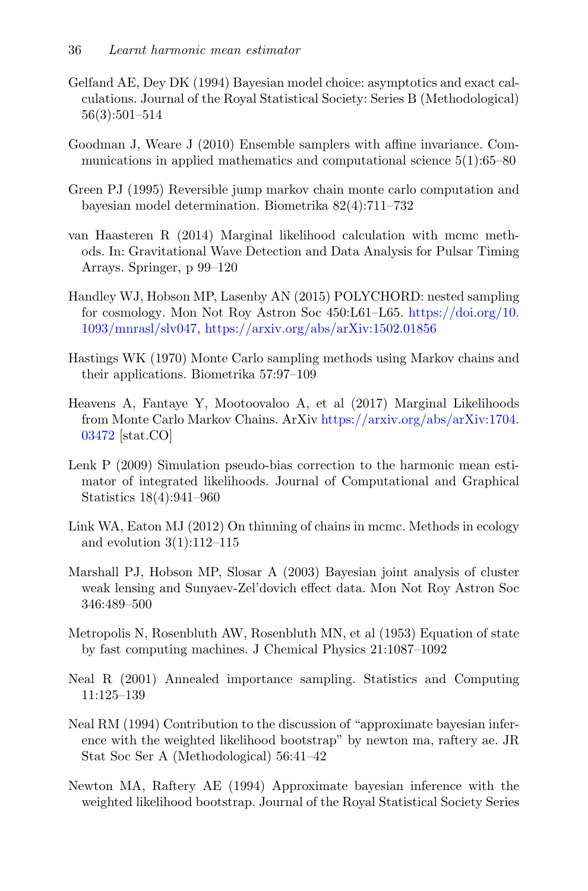- <span id="page-35-10"></span>Gelfand AE, Dey DK (1994) Bayesian model choice: asymptotics and exact calculations. Journal of the Royal Statistical Society: Series B (Methodological) 56(3):501–514
- <span id="page-35-12"></span>Goodman J, Weare J (2010) Ensemble samplers with affine invariance. Communications in applied mathematics and computational science  $5(1)$ :65–80
- <span id="page-35-13"></span>Green PJ (1995) Reversible jump markov chain monte carlo computation and bayesian model determination. Biometrika 82(4):711–732
- <span id="page-35-9"></span>van Haasteren R (2014) Marginal likelihood calculation with mcmc methods. In: Gravitational Wave Detection and Data Analysis for Pulsar Timing Arrays. Springer, p 99–120
- <span id="page-35-4"></span>Handley WJ, Hobson MP, Lasenby AN (2015) POLYCHORD: nested sampling for cosmology. Mon Not Roy Astron Soc 450:L61–L65. [https://doi.org/10.](https://doi.org/10.1093/mnrasl/slv047) [1093/mnrasl/slv047,](https://doi.org/10.1093/mnrasl/slv047) [https://arxiv.org/abs/arXiv:1502.01856]({https://arxiv.org/abs/arXiv:arXiv:1502.01856})
- <span id="page-35-1"></span>Hastings WK (1970) Monte Carlo sampling methods using Markov chains and their applications. Biometrika 57:97–109
- <span id="page-35-6"></span>Heavens A, Fantaye Y, Mootoovaloo A, et al (2017) Marginal Likelihoods from Monte Carlo Markov Chains. ArXiv [https://arxiv.org/abs/arXiv:1704.]({https://arxiv.org/abs/arXiv:arXiv:1704.03472}) [03472]({https://arxiv.org/abs/arXiv:arXiv:1704.03472}) [stat.CO]
- <span id="page-35-8"></span>Lenk P (2009) Simulation pseudo-bias correction to the harmonic mean estimator of integrated likelihoods. Journal of Computational and Graphical Statistics 18(4):941–960
- <span id="page-35-11"></span>Link WA, Eaton MJ (2012) On thinning of chains in mcmc. Methods in ecology and evolution  $3(1):112-115$
- <span id="page-35-2"></span>Marshall PJ, Hobson MP, Slosar A (2003) Bayesian joint analysis of cluster weak lensing and Sunyaev-Zel'dovich effect data. Mon Not Roy Astron Soc 346:489–500
- <span id="page-35-0"></span>Metropolis N, Rosenbluth AW, Rosenbluth MN, et al (1953) Equation of state by fast computing machines. J Chemical Physics 21:1087–1092
- <span id="page-35-3"></span>Neal R (2001) Annealed importance sampling. Statistics and Computing 11:125–139
- <span id="page-35-7"></span>Neal RM (1994) Contribution to the discussion of "approximate bayesian inference with the weighted likelihood bootstrap" by newton ma, raftery ae. JR Stat Soc Ser A (Methodological) 56:41–42
- <span id="page-35-5"></span>Newton MA, Raftery AE (1994) Approximate bayesian inference with the weighted likelihood bootstrap. Journal of the Royal Statistical Society Series